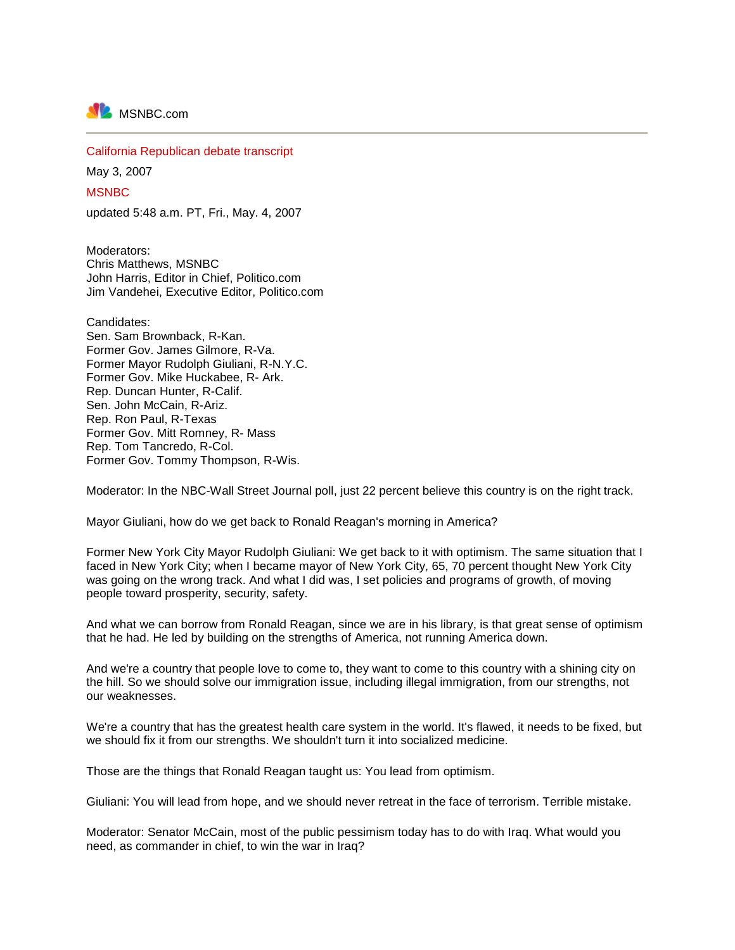

California Republican debate transcript

May 3, 2007

## **MSNBC**

updated 5:48 a.m. PT, Fri., May. 4, 2007

Moderators: Chris Matthews, MSNBC John Harris, Editor in Chief, Politico.com Jim Vandehei, Executive Editor, Politico.com

Candidates: Sen. Sam Brownback, R-Kan. Former Gov. James Gilmore, R-Va. Former Mayor Rudolph Giuliani, R-N.Y.C. Former Gov. Mike Huckabee, R- Ark. Rep. Duncan Hunter, R-Calif. Sen. John McCain, R-Ariz. Rep. Ron Paul, R-Texas Former Gov. Mitt Romney, R- Mass Rep. Tom Tancredo, R-Col. Former Gov. Tommy Thompson, R-Wis.

Moderator: In the NBC-Wall Street Journal poll, just 22 percent believe this country is on the right track.

Mayor Giuliani, how do we get back to Ronald Reagan's morning in America?

Former New York City Mayor Rudolph Giuliani: We get back to it with optimism. The same situation that I faced in New York City; when I became mayor of New York City, 65, 70 percent thought New York City was going on the wrong track. And what I did was, I set policies and programs of growth, of moving people toward prosperity, security, safety.

And what we can borrow from Ronald Reagan, since we are in his library, is that great sense of optimism that he had. He led by building on the strengths of America, not running America down.

And we're a country that people love to come to, they want to come to this country with a shining city on the hill. So we should solve our immigration issue, including illegal immigration, from our strengths, not our weaknesses.

We're a country that has the greatest health care system in the world. It's flawed, it needs to be fixed, but we should fix it from our strengths. We shouldn't turn it into socialized medicine.

Those are the things that Ronald Reagan taught us: You lead from optimism.

Giuliani: You will lead from hope, and we should never retreat in the face of terrorism. Terrible mistake.

Moderator: Senator McCain, most of the public pessimism today has to do with Iraq. What would you need, as commander in chief, to win the war in Iraq?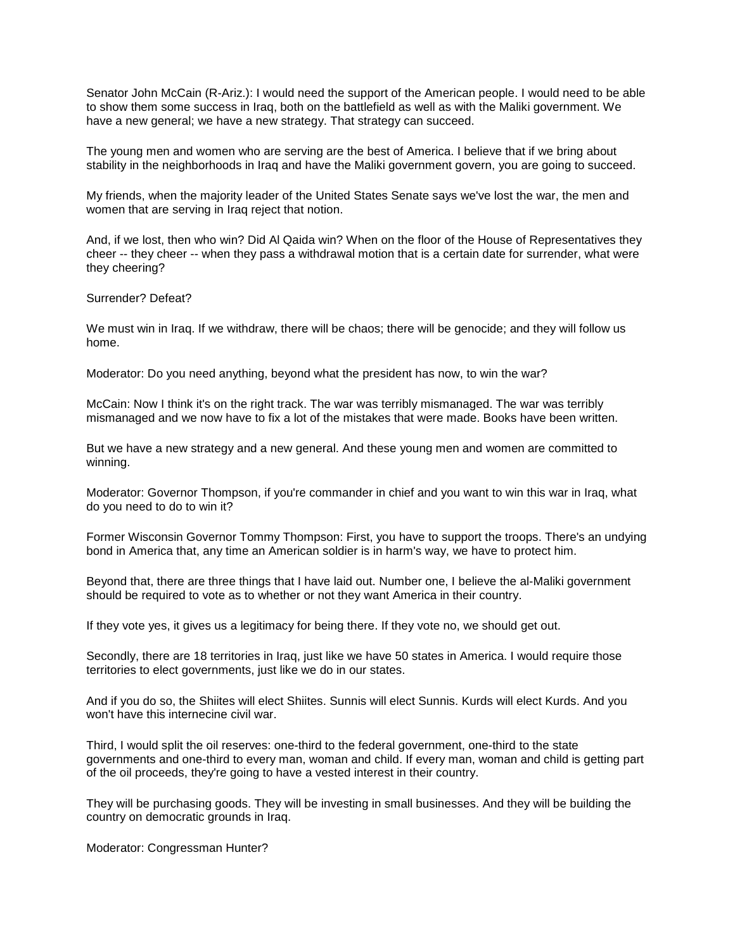Senator John McCain (R-Ariz.): I would need the support of the American people. I would need to be able to show them some success in Iraq, both on the battlefield as well as with the Maliki government. We have a new general; we have a new strategy. That strategy can succeed.

The young men and women who are serving are the best of America. I believe that if we bring about stability in the neighborhoods in Iraq and have the Maliki government govern, you are going to succeed.

My friends, when the majority leader of the United States Senate says we've lost the war, the men and women that are serving in Iraq reject that notion.

And, if we lost, then who win? Did Al Qaida win? When on the floor of the House of Representatives they cheer -- they cheer -- when they pass a withdrawal motion that is a certain date for surrender, what were they cheering?

#### Surrender? Defeat?

We must win in Iraq. If we withdraw, there will be chaos; there will be genocide; and they will follow us home.

Moderator: Do you need anything, beyond what the president has now, to win the war?

McCain: Now I think it's on the right track. The war was terribly mismanaged. The war was terribly mismanaged and we now have to fix a lot of the mistakes that were made. Books have been written.

But we have a new strategy and a new general. And these young men and women are committed to winning.

Moderator: Governor Thompson, if you're commander in chief and you want to win this war in Iraq, what do you need to do to win it?

Former Wisconsin Governor Tommy Thompson: First, you have to support the troops. There's an undying bond in America that, any time an American soldier is in harm's way, we have to protect him.

Beyond that, there are three things that I have laid out. Number one, I believe the al-Maliki government should be required to vote as to whether or not they want America in their country.

If they vote yes, it gives us a legitimacy for being there. If they vote no, we should get out.

Secondly, there are 18 territories in Iraq, just like we have 50 states in America. I would require those territories to elect governments, just like we do in our states.

And if you do so, the Shiites will elect Shiites. Sunnis will elect Sunnis. Kurds will elect Kurds. And you won't have this internecine civil war.

Third, I would split the oil reserves: one-third to the federal government, one-third to the state governments and one-third to every man, woman and child. If every man, woman and child is getting part of the oil proceeds, they're going to have a vested interest in their country.

They will be purchasing goods. They will be investing in small businesses. And they will be building the country on democratic grounds in Iraq.

Moderator: Congressman Hunter?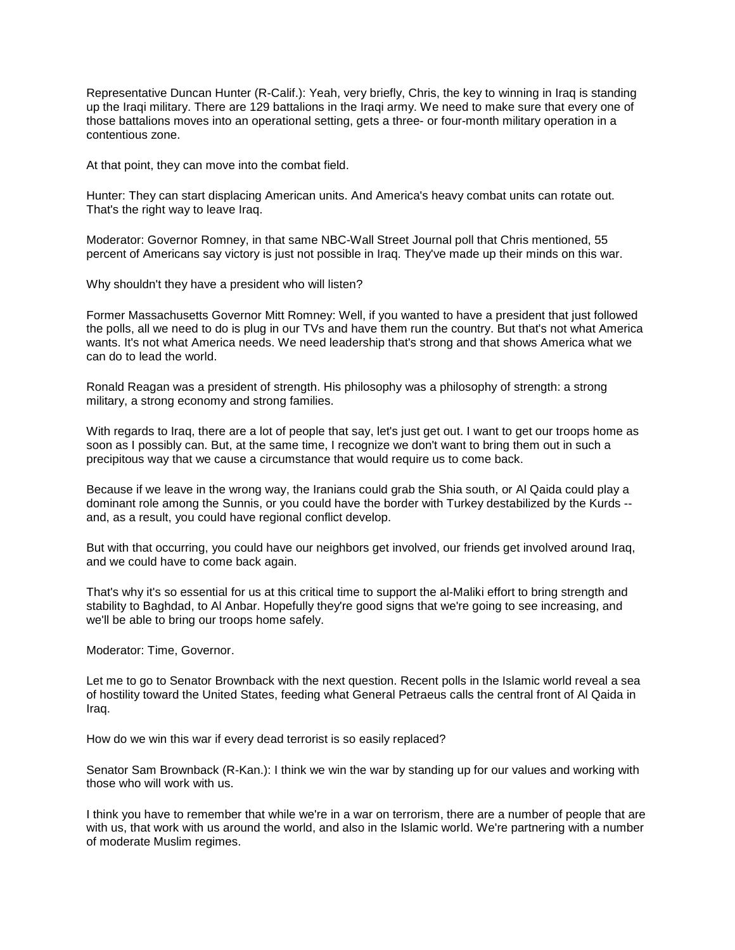Representative Duncan Hunter (R-Calif.): Yeah, very briefly, Chris, the key to winning in Iraq is standing up the Iraqi military. There are 129 battalions in the Iraqi army. We need to make sure that every one of those battalions moves into an operational setting, gets a three- or four-month military operation in a contentious zone.

At that point, they can move into the combat field.

Hunter: They can start displacing American units. And America's heavy combat units can rotate out. That's the right way to leave Iraq.

Moderator: Governor Romney, in that same NBC-Wall Street Journal poll that Chris mentioned, 55 percent of Americans say victory is just not possible in Iraq. They've made up their minds on this war.

Why shouldn't they have a president who will listen?

Former Massachusetts Governor Mitt Romney: Well, if you wanted to have a president that just followed the polls, all we need to do is plug in our TVs and have them run the country. But that's not what America wants. It's not what America needs. We need leadership that's strong and that shows America what we can do to lead the world.

Ronald Reagan was a president of strength. His philosophy was a philosophy of strength: a strong military, a strong economy and strong families.

With regards to Iraq, there are a lot of people that say, let's just get out. I want to get our troops home as soon as I possibly can. But, at the same time, I recognize we don't want to bring them out in such a precipitous way that we cause a circumstance that would require us to come back.

Because if we leave in the wrong way, the Iranians could grab the Shia south, or Al Qaida could play a dominant role among the Sunnis, or you could have the border with Turkey destabilized by the Kurds - and, as a result, you could have regional conflict develop.

But with that occurring, you could have our neighbors get involved, our friends get involved around Iraq, and we could have to come back again.

That's why it's so essential for us at this critical time to support the al-Maliki effort to bring strength and stability to Baghdad, to Al Anbar. Hopefully they're good signs that we're going to see increasing, and we'll be able to bring our troops home safely.

Moderator: Time, Governor.

Let me to go to Senator Brownback with the next question. Recent polls in the Islamic world reveal a sea of hostility toward the United States, feeding what General Petraeus calls the central front of Al Qaida in Iraq.

How do we win this war if every dead terrorist is so easily replaced?

Senator Sam Brownback (R-Kan.): I think we win the war by standing up for our values and working with those who will work with us.

I think you have to remember that while we're in a war on terrorism, there are a number of people that are with us, that work with us around the world, and also in the Islamic world. We're partnering with a number of moderate Muslim regimes.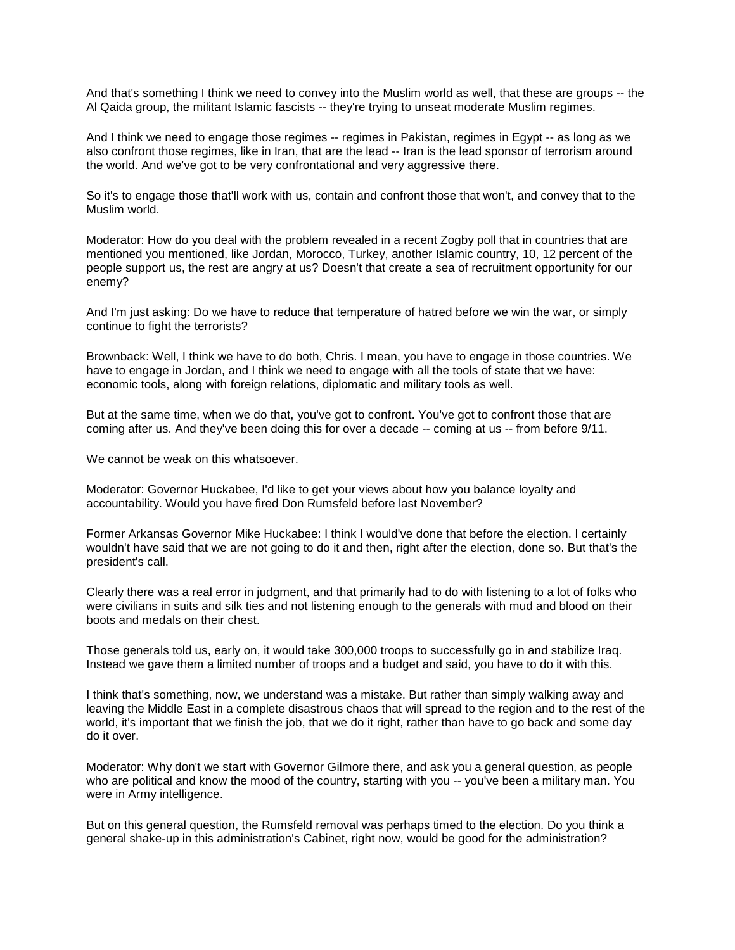And that's something I think we need to convey into the Muslim world as well, that these are groups -- the Al Qaida group, the militant Islamic fascists -- they're trying to unseat moderate Muslim regimes.

And I think we need to engage those regimes -- regimes in Pakistan, regimes in Egypt -- as long as we also confront those regimes, like in Iran, that are the lead -- Iran is the lead sponsor of terrorism around the world. And we've got to be very confrontational and very aggressive there.

So it's to engage those that'll work with us, contain and confront those that won't, and convey that to the Muslim world.

Moderator: How do you deal with the problem revealed in a recent Zogby poll that in countries that are mentioned you mentioned, like Jordan, Morocco, Turkey, another Islamic country, 10, 12 percent of the people support us, the rest are angry at us? Doesn't that create a sea of recruitment opportunity for our enemy?

And I'm just asking: Do we have to reduce that temperature of hatred before we win the war, or simply continue to fight the terrorists?

Brownback: Well, I think we have to do both, Chris. I mean, you have to engage in those countries. We have to engage in Jordan, and I think we need to engage with all the tools of state that we have: economic tools, along with foreign relations, diplomatic and military tools as well.

But at the same time, when we do that, you've got to confront. You've got to confront those that are coming after us. And they've been doing this for over a decade -- coming at us -- from before 9/11.

We cannot be weak on this whatsoever.

Moderator: Governor Huckabee, I'd like to get your views about how you balance loyalty and accountability. Would you have fired Don Rumsfeld before last November?

Former Arkansas Governor Mike Huckabee: I think I would've done that before the election. I certainly wouldn't have said that we are not going to do it and then, right after the election, done so. But that's the president's call.

Clearly there was a real error in judgment, and that primarily had to do with listening to a lot of folks who were civilians in suits and silk ties and not listening enough to the generals with mud and blood on their boots and medals on their chest.

Those generals told us, early on, it would take 300,000 troops to successfully go in and stabilize Iraq. Instead we gave them a limited number of troops and a budget and said, you have to do it with this.

I think that's something, now, we understand was a mistake. But rather than simply walking away and leaving the Middle East in a complete disastrous chaos that will spread to the region and to the rest of the world, it's important that we finish the job, that we do it right, rather than have to go back and some day do it over.

Moderator: Why don't we start with Governor Gilmore there, and ask you a general question, as people who are political and know the mood of the country, starting with you -- you've been a military man. You were in Army intelligence.

But on this general question, the Rumsfeld removal was perhaps timed to the election. Do you think a general shake-up in this administration's Cabinet, right now, would be good for the administration?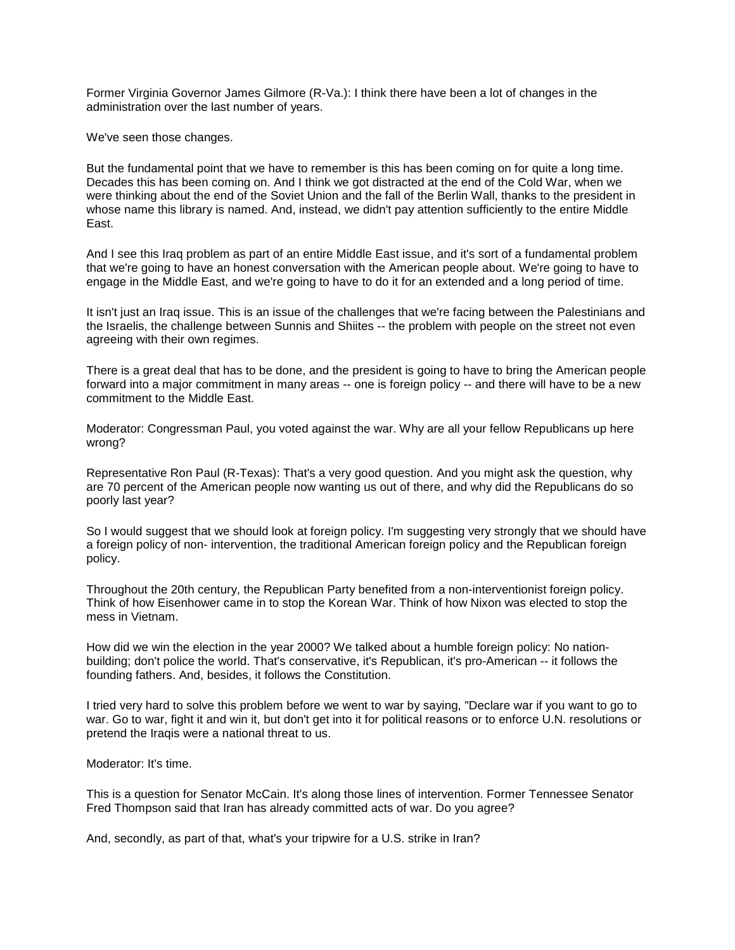Former Virginia Governor James Gilmore (R-Va.): I think there have been a lot of changes in the administration over the last number of years.

We've seen those changes.

But the fundamental point that we have to remember is this has been coming on for quite a long time. Decades this has been coming on. And I think we got distracted at the end of the Cold War, when we were thinking about the end of the Soviet Union and the fall of the Berlin Wall, thanks to the president in whose name this library is named. And, instead, we didn't pay attention sufficiently to the entire Middle East.

And I see this Iraq problem as part of an entire Middle East issue, and it's sort of a fundamental problem that we're going to have an honest conversation with the American people about. We're going to have to engage in the Middle East, and we're going to have to do it for an extended and a long period of time.

It isn't just an Iraq issue. This is an issue of the challenges that we're facing between the Palestinians and the Israelis, the challenge between Sunnis and Shiites -- the problem with people on the street not even agreeing with their own regimes.

There is a great deal that has to be done, and the president is going to have to bring the American people forward into a major commitment in many areas -- one is foreign policy -- and there will have to be a new commitment to the Middle East.

Moderator: Congressman Paul, you voted against the war. Why are all your fellow Republicans up here wrong?

Representative Ron Paul (R-Texas): That's a very good question. And you might ask the question, why are 70 percent of the American people now wanting us out of there, and why did the Republicans do so poorly last year?

So I would suggest that we should look at foreign policy. I'm suggesting very strongly that we should have a foreign policy of non- intervention, the traditional American foreign policy and the Republican foreign policy.

Throughout the 20th century, the Republican Party benefited from a non-interventionist foreign policy. Think of how Eisenhower came in to stop the Korean War. Think of how Nixon was elected to stop the mess in Vietnam.

How did we win the election in the year 2000? We talked about a humble foreign policy: No nationbuilding; don't police the world. That's conservative, it's Republican, it's pro-American -- it follows the founding fathers. And, besides, it follows the Constitution.

I tried very hard to solve this problem before we went to war by saying, "Declare war if you want to go to war. Go to war, fight it and win it, but don't get into it for political reasons or to enforce U.N. resolutions or pretend the Iraqis were a national threat to us.

Moderator: It's time.

This is a question for Senator McCain. It's along those lines of intervention. Former Tennessee Senator Fred Thompson said that Iran has already committed acts of war. Do you agree?

And, secondly, as part of that, what's your tripwire for a U.S. strike in Iran?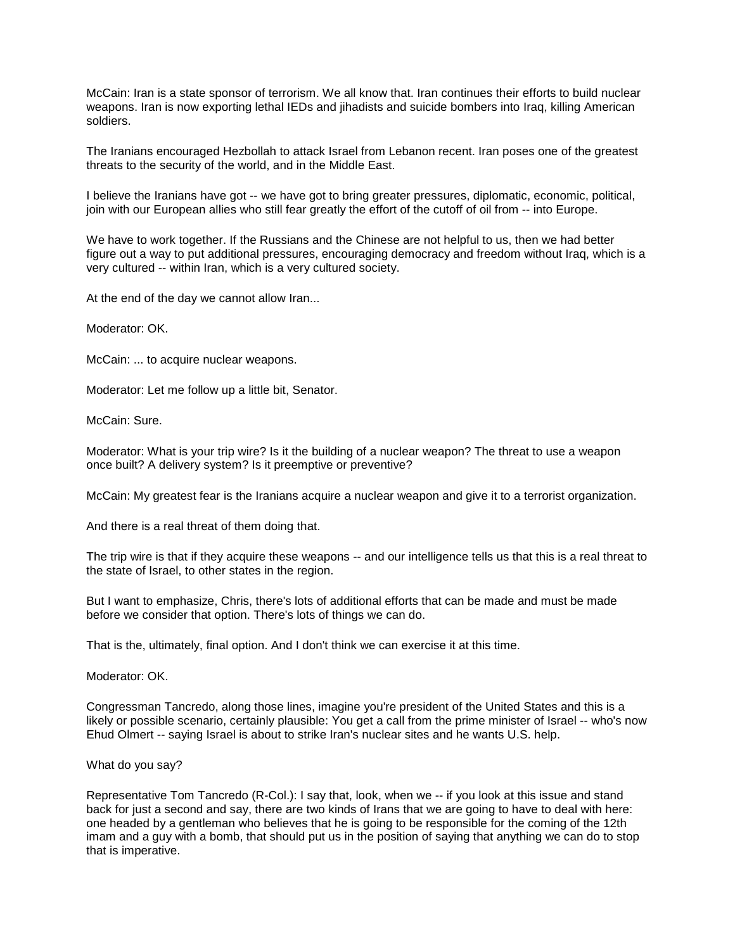McCain: Iran is a state sponsor of terrorism. We all know that. Iran continues their efforts to build nuclear weapons. Iran is now exporting lethal IEDs and jihadists and suicide bombers into Iraq, killing American soldiers.

The Iranians encouraged Hezbollah to attack Israel from Lebanon recent. Iran poses one of the greatest threats to the security of the world, and in the Middle East.

I believe the Iranians have got -- we have got to bring greater pressures, diplomatic, economic, political, join with our European allies who still fear greatly the effort of the cutoff of oil from -- into Europe.

We have to work together. If the Russians and the Chinese are not helpful to us, then we had better figure out a way to put additional pressures, encouraging democracy and freedom without Iraq, which is a very cultured -- within Iran, which is a very cultured society.

At the end of the day we cannot allow Iran...

Moderator: OK.

McCain: ... to acquire nuclear weapons.

Moderator: Let me follow up a little bit, Senator.

McCain: Sure.

Moderator: What is your trip wire? Is it the building of a nuclear weapon? The threat to use a weapon once built? A delivery system? Is it preemptive or preventive?

McCain: My greatest fear is the Iranians acquire a nuclear weapon and give it to a terrorist organization.

And there is a real threat of them doing that.

The trip wire is that if they acquire these weapons -- and our intelligence tells us that this is a real threat to the state of Israel, to other states in the region.

But I want to emphasize, Chris, there's lots of additional efforts that can be made and must be made before we consider that option. There's lots of things we can do.

That is the, ultimately, final option. And I don't think we can exercise it at this time.

Moderator: OK.

Congressman Tancredo, along those lines, imagine you're president of the United States and this is a likely or possible scenario, certainly plausible: You get a call from the prime minister of Israel -- who's now Ehud Olmert -- saying Israel is about to strike Iran's nuclear sites and he wants U.S. help.

What do you say?

Representative Tom Tancredo (R-Col.): I say that, look, when we -- if you look at this issue and stand back for just a second and say, there are two kinds of Irans that we are going to have to deal with here: one headed by a gentleman who believes that he is going to be responsible for the coming of the 12th imam and a guy with a bomb, that should put us in the position of saying that anything we can do to stop that is imperative.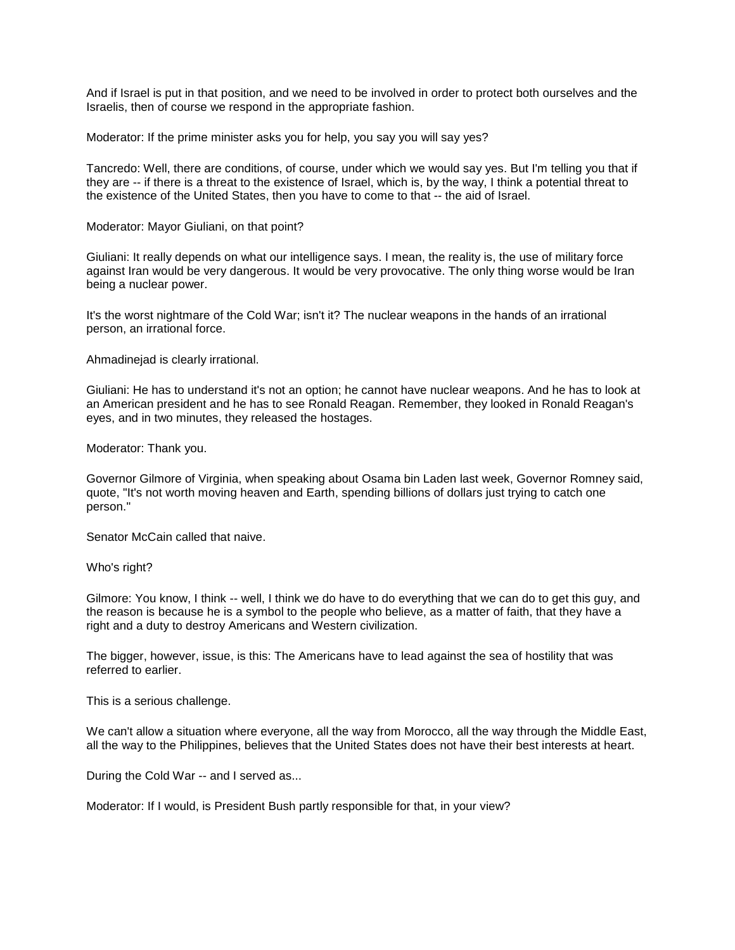And if Israel is put in that position, and we need to be involved in order to protect both ourselves and the Israelis, then of course we respond in the appropriate fashion.

Moderator: If the prime minister asks you for help, you say you will say yes?

Tancredo: Well, there are conditions, of course, under which we would say yes. But I'm telling you that if they are -- if there is a threat to the existence of Israel, which is, by the way, I think a potential threat to the existence of the United States, then you have to come to that -- the aid of Israel.

Moderator: Mayor Giuliani, on that point?

Giuliani: It really depends on what our intelligence says. I mean, the reality is, the use of military force against Iran would be very dangerous. It would be very provocative. The only thing worse would be Iran being a nuclear power.

It's the worst nightmare of the Cold War; isn't it? The nuclear weapons in the hands of an irrational person, an irrational force.

Ahmadinejad is clearly irrational.

Giuliani: He has to understand it's not an option; he cannot have nuclear weapons. And he has to look at an American president and he has to see Ronald Reagan. Remember, they looked in Ronald Reagan's eyes, and in two minutes, they released the hostages.

Moderator: Thank you.

Governor Gilmore of Virginia, when speaking about Osama bin Laden last week, Governor Romney said, quote, "It's not worth moving heaven and Earth, spending billions of dollars just trying to catch one person."

Senator McCain called that naive.

#### Who's right?

Gilmore: You know, I think -- well, I think we do have to do everything that we can do to get this guy, and the reason is because he is a symbol to the people who believe, as a matter of faith, that they have a right and a duty to destroy Americans and Western civilization.

The bigger, however, issue, is this: The Americans have to lead against the sea of hostility that was referred to earlier.

This is a serious challenge.

We can't allow a situation where everyone, all the way from Morocco, all the way through the Middle East, all the way to the Philippines, believes that the United States does not have their best interests at heart.

During the Cold War -- and I served as...

Moderator: If I would, is President Bush partly responsible for that, in your view?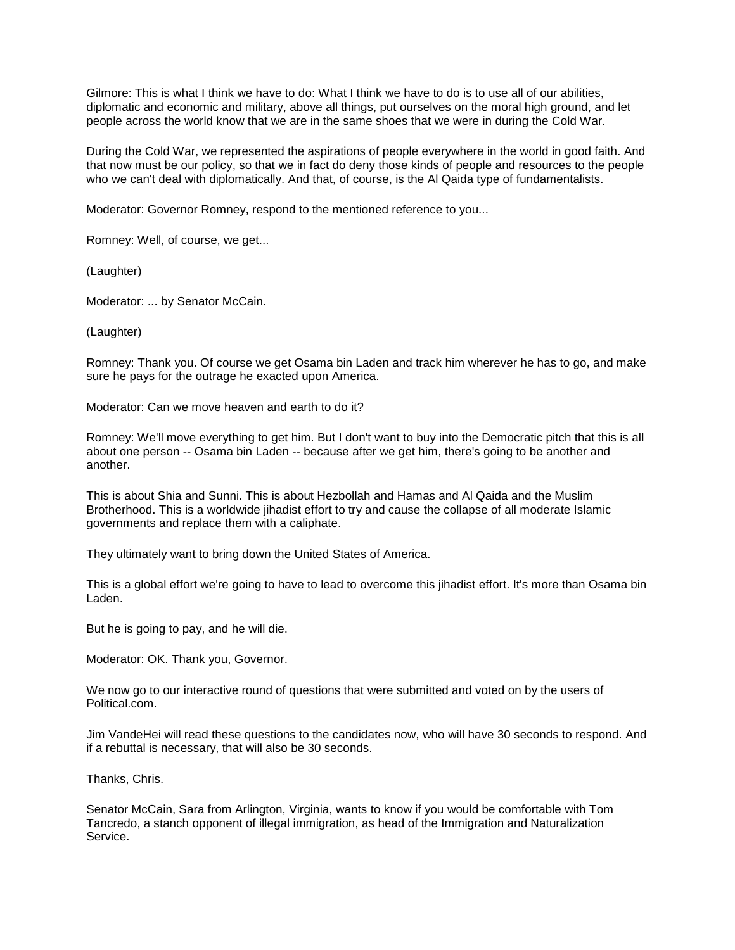Gilmore: This is what I think we have to do: What I think we have to do is to use all of our abilities, diplomatic and economic and military, above all things, put ourselves on the moral high ground, and let people across the world know that we are in the same shoes that we were in during the Cold War.

During the Cold War, we represented the aspirations of people everywhere in the world in good faith. And that now must be our policy, so that we in fact do deny those kinds of people and resources to the people who we can't deal with diplomatically. And that, of course, is the Al Qaida type of fundamentalists.

Moderator: Governor Romney, respond to the mentioned reference to you...

Romney: Well, of course, we get...

(Laughter)

Moderator: ... by Senator McCain.

(Laughter)

Romney: Thank you. Of course we get Osama bin Laden and track him wherever he has to go, and make sure he pays for the outrage he exacted upon America.

Moderator: Can we move heaven and earth to do it?

Romney: We'll move everything to get him. But I don't want to buy into the Democratic pitch that this is all about one person -- Osama bin Laden -- because after we get him, there's going to be another and another.

This is about Shia and Sunni. This is about Hezbollah and Hamas and Al Qaida and the Muslim Brotherhood. This is a worldwide jihadist effort to try and cause the collapse of all moderate Islamic governments and replace them with a caliphate.

They ultimately want to bring down the United States of America.

This is a global effort we're going to have to lead to overcome this jihadist effort. It's more than Osama bin Laden.

But he is going to pay, and he will die.

Moderator: OK. Thank you, Governor.

We now go to our interactive round of questions that were submitted and voted on by the users of Political.com.

Jim VandeHei will read these questions to the candidates now, who will have 30 seconds to respond. And if a rebuttal is necessary, that will also be 30 seconds.

Thanks, Chris.

Senator McCain, Sara from Arlington, Virginia, wants to know if you would be comfortable with Tom Tancredo, a stanch opponent of illegal immigration, as head of the Immigration and Naturalization Service.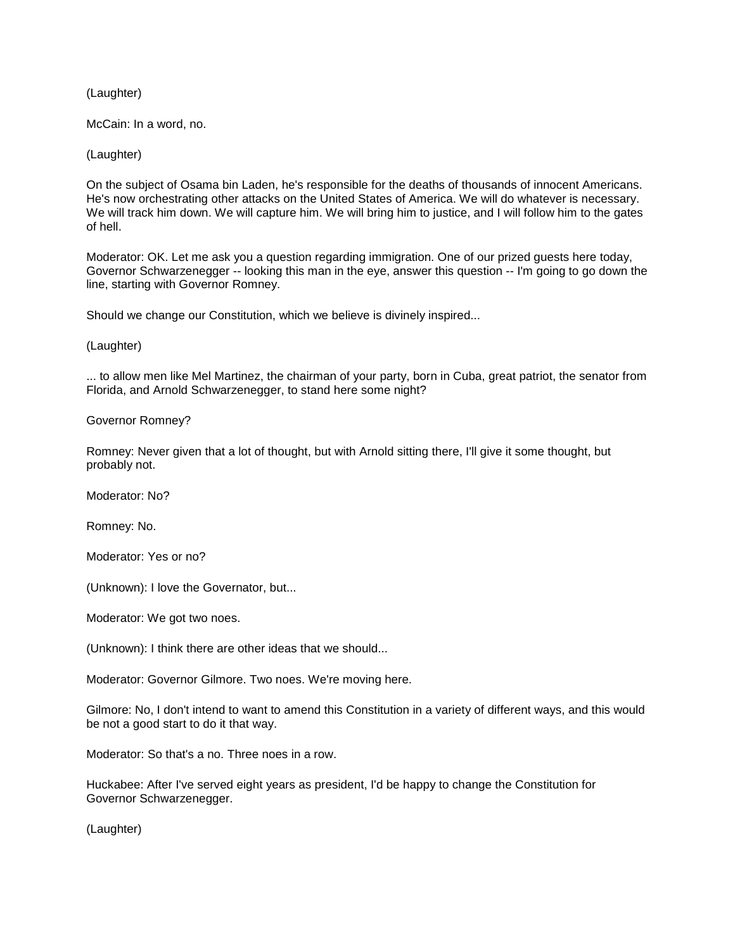(Laughter)

McCain: In a word, no.

(Laughter)

On the subject of Osama bin Laden, he's responsible for the deaths of thousands of innocent Americans. He's now orchestrating other attacks on the United States of America. We will do whatever is necessary. We will track him down. We will capture him. We will bring him to justice, and I will follow him to the gates of hell.

Moderator: OK. Let me ask you a question regarding immigration. One of our prized guests here today, Governor Schwarzenegger -- looking this man in the eye, answer this question -- I'm going to go down the line, starting with Governor Romney.

Should we change our Constitution, which we believe is divinely inspired...

(Laughter)

... to allow men like Mel Martinez, the chairman of your party, born in Cuba, great patriot, the senator from Florida, and Arnold Schwarzenegger, to stand here some night?

Governor Romney?

Romney: Never given that a lot of thought, but with Arnold sitting there, I'll give it some thought, but probably not.

Moderator: No?

Romney: No.

Moderator: Yes or no?

(Unknown): I love the Governator, but...

Moderator: We got two noes.

(Unknown): I think there are other ideas that we should...

Moderator: Governor Gilmore. Two noes. We're moving here.

Gilmore: No, I don't intend to want to amend this Constitution in a variety of different ways, and this would be not a good start to do it that way.

Moderator: So that's a no. Three noes in a row.

Huckabee: After I've served eight years as president, I'd be happy to change the Constitution for Governor Schwarzenegger.

(Laughter)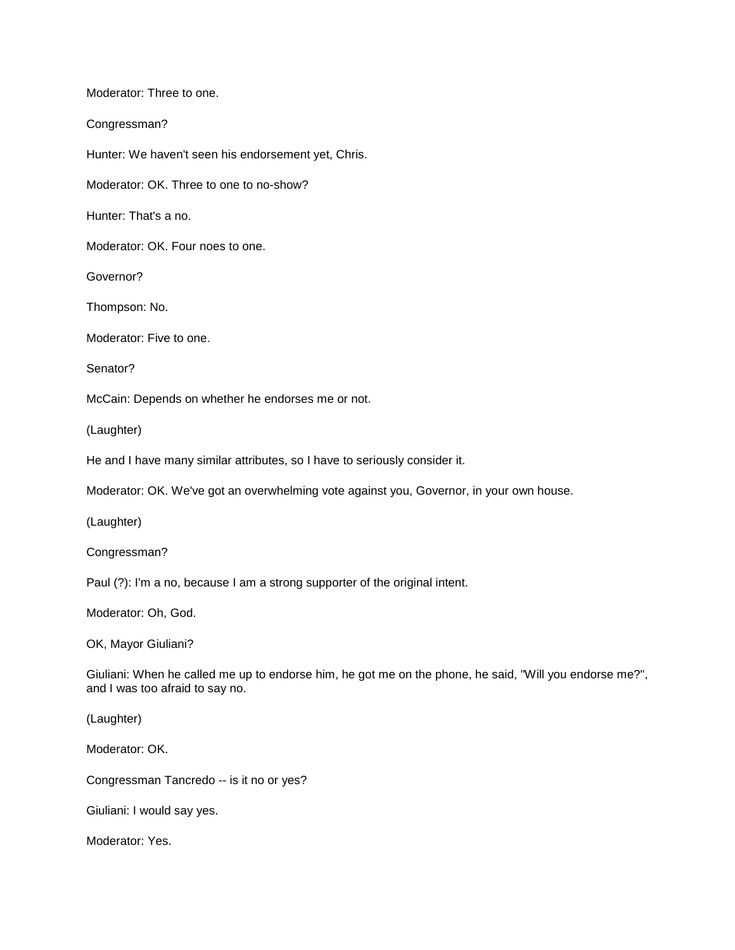Moderator: Three to one.

Congressman?

Hunter: We haven't seen his endorsement yet, Chris.

Moderator: OK. Three to one to no-show?

Hunter: That's a no.

Moderator: OK. Four noes to one.

Governor?

Thompson: No.

Moderator: Five to one.

Senator?

McCain: Depends on whether he endorses me or not.

(Laughter)

He and I have many similar attributes, so I have to seriously consider it.

Moderator: OK. We've got an overwhelming vote against you, Governor, in your own house.

(Laughter)

Congressman?

Paul (?): I'm a no, because I am a strong supporter of the original intent.

Moderator: Oh, God.

OK, Mayor Giuliani?

Giuliani: When he called me up to endorse him, he got me on the phone, he said, "Will you endorse me?", and I was too afraid to say no.

(Laughter)

Moderator: OK.

Congressman Tancredo -- is it no or yes?

Giuliani: I would say yes.

Moderator: Yes.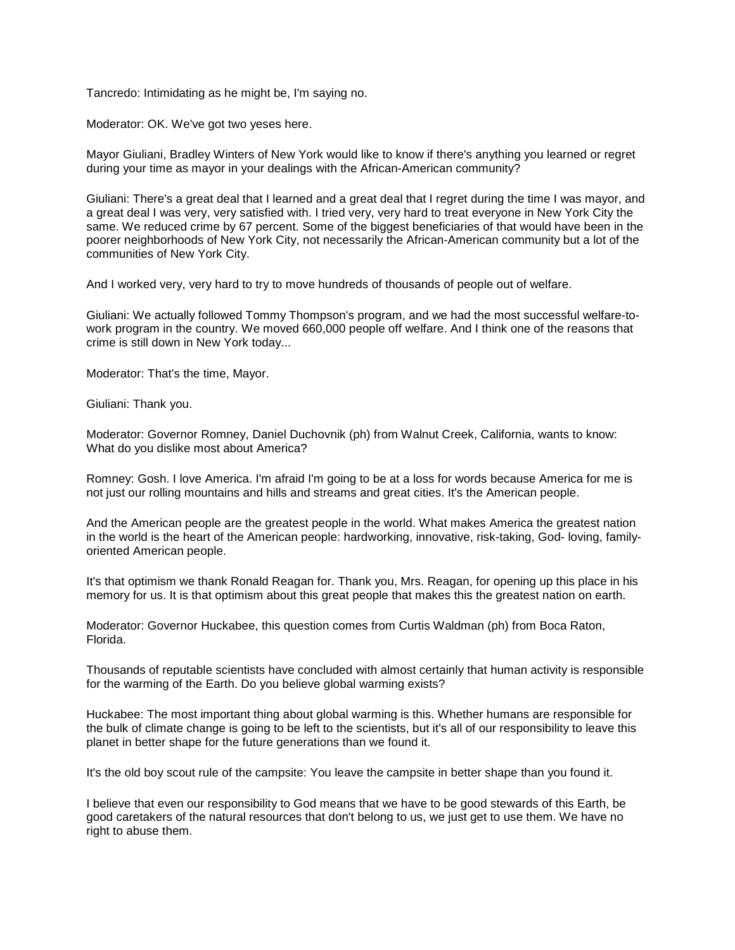Tancredo: Intimidating as he might be, I'm saying no.

Moderator: OK. We've got two yeses here.

Mayor Giuliani, Bradley Winters of New York would like to know if there's anything you learned or regret during your time as mayor in your dealings with the African-American community?

Giuliani: There's a great deal that I learned and a great deal that I regret during the time I was mayor, and a great deal I was very, very satisfied with. I tried very, very hard to treat everyone in New York City the same. We reduced crime by 67 percent. Some of the biggest beneficiaries of that would have been in the poorer neighborhoods of New York City, not necessarily the African-American community but a lot of the communities of New York City.

And I worked very, very hard to try to move hundreds of thousands of people out of welfare.

Giuliani: We actually followed Tommy Thompson's program, and we had the most successful welfare-towork program in the country. We moved 660,000 people off welfare. And I think one of the reasons that crime is still down in New York today...

Moderator: That's the time, Mayor.

Giuliani: Thank you.

Moderator: Governor Romney, Daniel Duchovnik (ph) from Walnut Creek, California, wants to know: What do you dislike most about America?

Romney: Gosh. I love America. I'm afraid I'm going to be at a loss for words because America for me is not just our rolling mountains and hills and streams and great cities. It's the American people.

And the American people are the greatest people in the world. What makes America the greatest nation in the world is the heart of the American people: hardworking, innovative, risk-taking, God- loving, familyoriented American people.

It's that optimism we thank Ronald Reagan for. Thank you, Mrs. Reagan, for opening up this place in his memory for us. It is that optimism about this great people that makes this the greatest nation on earth.

Moderator: Governor Huckabee, this question comes from Curtis Waldman (ph) from Boca Raton, Florida.

Thousands of reputable scientists have concluded with almost certainly that human activity is responsible for the warming of the Earth. Do you believe global warming exists?

Huckabee: The most important thing about global warming is this. Whether humans are responsible for the bulk of climate change is going to be left to the scientists, but it's all of our responsibility to leave this planet in better shape for the future generations than we found it.

It's the old boy scout rule of the campsite: You leave the campsite in better shape than you found it.

I believe that even our responsibility to God means that we have to be good stewards of this Earth, be good caretakers of the natural resources that don't belong to us, we just get to use them. We have no right to abuse them.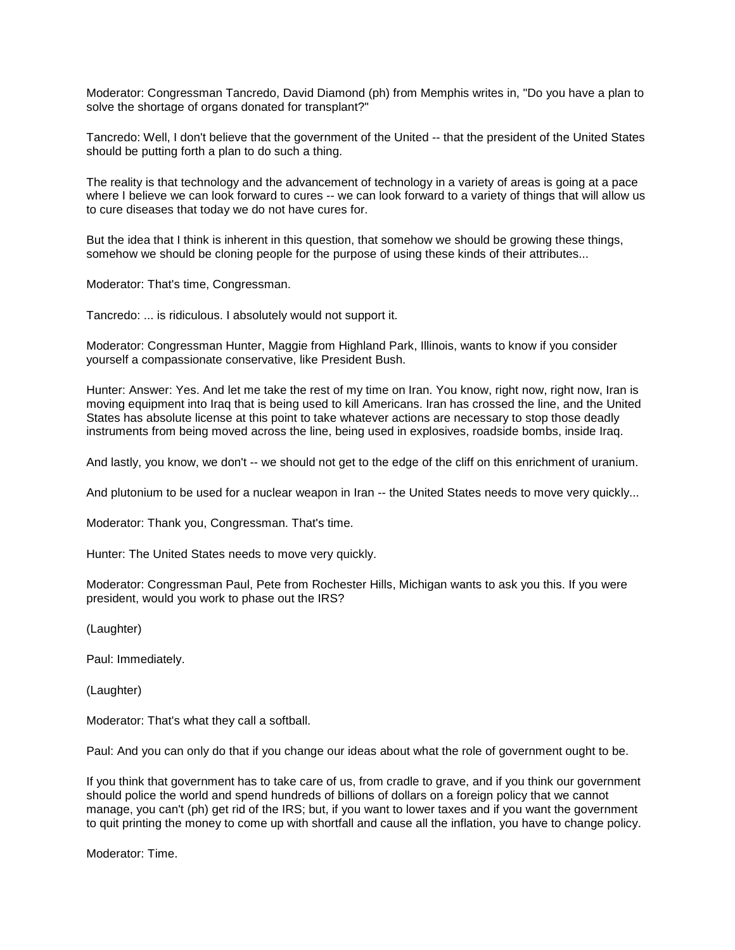Moderator: Congressman Tancredo, David Diamond (ph) from Memphis writes in, "Do you have a plan to solve the shortage of organs donated for transplant?"

Tancredo: Well, I don't believe that the government of the United -- that the president of the United States should be putting forth a plan to do such a thing.

The reality is that technology and the advancement of technology in a variety of areas is going at a pace where I believe we can look forward to cures -- we can look forward to a variety of things that will allow us to cure diseases that today we do not have cures for.

But the idea that I think is inherent in this question, that somehow we should be growing these things, somehow we should be cloning people for the purpose of using these kinds of their attributes...

Moderator: That's time, Congressman.

Tancredo: ... is ridiculous. I absolutely would not support it.

Moderator: Congressman Hunter, Maggie from Highland Park, Illinois, wants to know if you consider yourself a compassionate conservative, like President Bush.

Hunter: Answer: Yes. And let me take the rest of my time on Iran. You know, right now, right now, Iran is moving equipment into Iraq that is being used to kill Americans. Iran has crossed the line, and the United States has absolute license at this point to take whatever actions are necessary to stop those deadly instruments from being moved across the line, being used in explosives, roadside bombs, inside Iraq.

And lastly, you know, we don't -- we should not get to the edge of the cliff on this enrichment of uranium.

And plutonium to be used for a nuclear weapon in Iran -- the United States needs to move very quickly...

Moderator: Thank you, Congressman. That's time.

Hunter: The United States needs to move very quickly.

Moderator: Congressman Paul, Pete from Rochester Hills, Michigan wants to ask you this. If you were president, would you work to phase out the IRS?

(Laughter)

Paul: Immediately.

(Laughter)

Moderator: That's what they call a softball.

Paul: And you can only do that if you change our ideas about what the role of government ought to be.

If you think that government has to take care of us, from cradle to grave, and if you think our government should police the world and spend hundreds of billions of dollars on a foreign policy that we cannot manage, you can't (ph) get rid of the IRS; but, if you want to lower taxes and if you want the government to quit printing the money to come up with shortfall and cause all the inflation, you have to change policy.

Moderator: Time.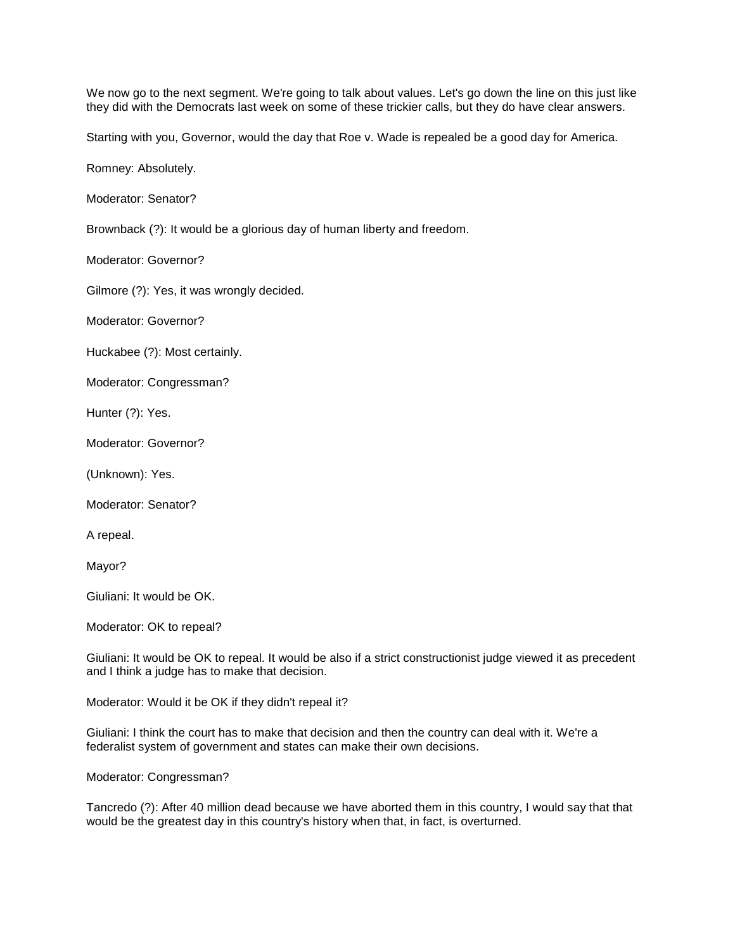We now go to the next segment. We're going to talk about values. Let's go down the line on this just like they did with the Democrats last week on some of these trickier calls, but they do have clear answers.

Starting with you, Governor, would the day that Roe v. Wade is repealed be a good day for America.

Romney: Absolutely.

Moderator: Senator?

Brownback (?): It would be a glorious day of human liberty and freedom.

Moderator: Governor?

Gilmore (?): Yes, it was wrongly decided.

Moderator: Governor?

Huckabee (?): Most certainly.

Moderator: Congressman?

Hunter (?): Yes.

Moderator: Governor?

(Unknown): Yes.

Moderator: Senator?

A repeal.

Mayor?

Giuliani: It would be OK.

Moderator: OK to repeal?

Giuliani: It would be OK to repeal. It would be also if a strict constructionist judge viewed it as precedent and I think a judge has to make that decision.

Moderator: Would it be OK if they didn't repeal it?

Giuliani: I think the court has to make that decision and then the country can deal with it. We're a federalist system of government and states can make their own decisions.

Moderator: Congressman?

Tancredo (?): After 40 million dead because we have aborted them in this country, I would say that that would be the greatest day in this country's history when that, in fact, is overturned.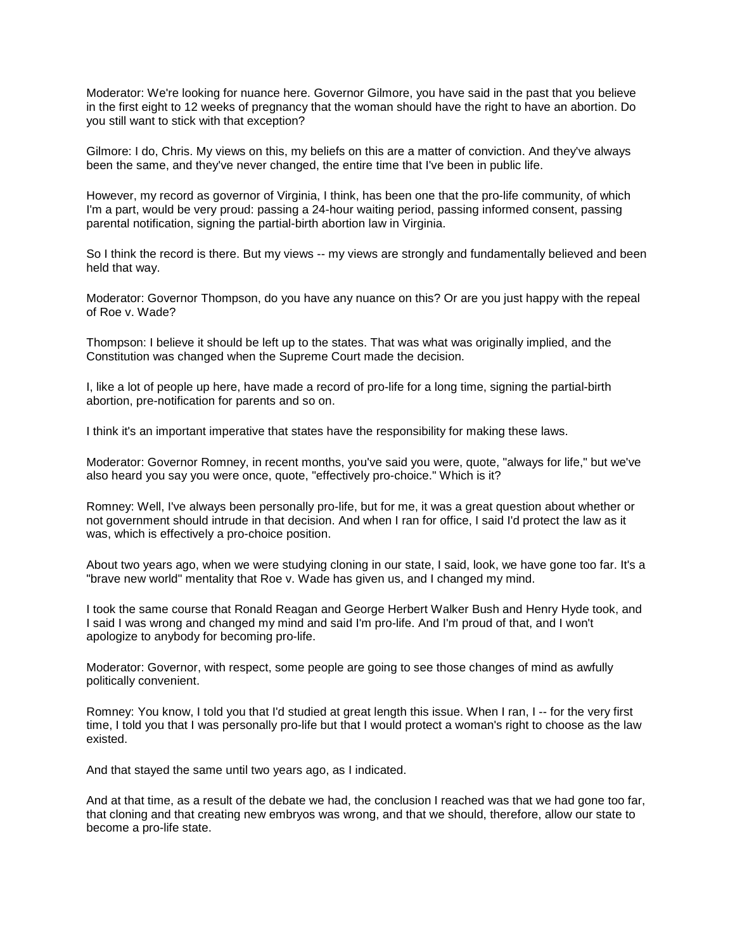Moderator: We're looking for nuance here. Governor Gilmore, you have said in the past that you believe in the first eight to 12 weeks of pregnancy that the woman should have the right to have an abortion. Do you still want to stick with that exception?

Gilmore: I do, Chris. My views on this, my beliefs on this are a matter of conviction. And they've always been the same, and they've never changed, the entire time that I've been in public life.

However, my record as governor of Virginia, I think, has been one that the pro-life community, of which I'm a part, would be very proud: passing a 24-hour waiting period, passing informed consent, passing parental notification, signing the partial-birth abortion law in Virginia.

So I think the record is there. But my views -- my views are strongly and fundamentally believed and been held that way.

Moderator: Governor Thompson, do you have any nuance on this? Or are you just happy with the repeal of Roe v. Wade?

Thompson: I believe it should be left up to the states. That was what was originally implied, and the Constitution was changed when the Supreme Court made the decision.

I, like a lot of people up here, have made a record of pro-life for a long time, signing the partial-birth abortion, pre-notification for parents and so on.

I think it's an important imperative that states have the responsibility for making these laws.

Moderator: Governor Romney, in recent months, you've said you were, quote, "always for life," but we've also heard you say you were once, quote, "effectively pro-choice." Which is it?

Romney: Well, I've always been personally pro-life, but for me, it was a great question about whether or not government should intrude in that decision. And when I ran for office, I said I'd protect the law as it was, which is effectively a pro-choice position.

About two years ago, when we were studying cloning in our state, I said, look, we have gone too far. It's a "brave new world" mentality that Roe v. Wade has given us, and I changed my mind.

I took the same course that Ronald Reagan and George Herbert Walker Bush and Henry Hyde took, and I said I was wrong and changed my mind and said I'm pro-life. And I'm proud of that, and I won't apologize to anybody for becoming pro-life.

Moderator: Governor, with respect, some people are going to see those changes of mind as awfully politically convenient.

Romney: You know, I told you that I'd studied at great length this issue. When I ran, I -- for the very first time, I told you that I was personally pro-life but that I would protect a woman's right to choose as the law existed.

And that stayed the same until two years ago, as I indicated.

And at that time, as a result of the debate we had, the conclusion I reached was that we had gone too far, that cloning and that creating new embryos was wrong, and that we should, therefore, allow our state to become a pro-life state.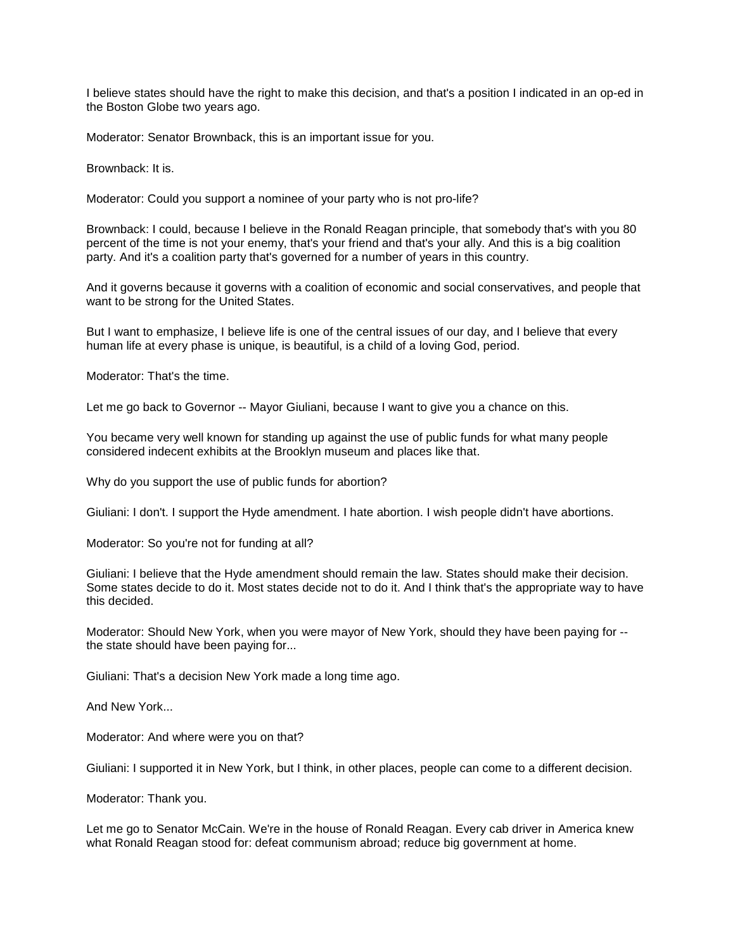I believe states should have the right to make this decision, and that's a position I indicated in an op-ed in the Boston Globe two years ago.

Moderator: Senator Brownback, this is an important issue for you.

Brownback: It is.

Moderator: Could you support a nominee of your party who is not pro-life?

Brownback: I could, because I believe in the Ronald Reagan principle, that somebody that's with you 80 percent of the time is not your enemy, that's your friend and that's your ally. And this is a big coalition party. And it's a coalition party that's governed for a number of years in this country.

And it governs because it governs with a coalition of economic and social conservatives, and people that want to be strong for the United States.

But I want to emphasize, I believe life is one of the central issues of our day, and I believe that every human life at every phase is unique, is beautiful, is a child of a loving God, period.

Moderator: That's the time.

Let me go back to Governor -- Mayor Giuliani, because I want to give you a chance on this.

You became very well known for standing up against the use of public funds for what many people considered indecent exhibits at the Brooklyn museum and places like that.

Why do you support the use of public funds for abortion?

Giuliani: I don't. I support the Hyde amendment. I hate abortion. I wish people didn't have abortions.

Moderator: So you're not for funding at all?

Giuliani: I believe that the Hyde amendment should remain the law. States should make their decision. Some states decide to do it. Most states decide not to do it. And I think that's the appropriate way to have this decided.

Moderator: Should New York, when you were mayor of New York, should they have been paying for - the state should have been paying for...

Giuliani: That's a decision New York made a long time ago.

And New York...

Moderator: And where were you on that?

Giuliani: I supported it in New York, but I think, in other places, people can come to a different decision.

Moderator: Thank you.

Let me go to Senator McCain. We're in the house of Ronald Reagan. Every cab driver in America knew what Ronald Reagan stood for: defeat communism abroad; reduce big government at home.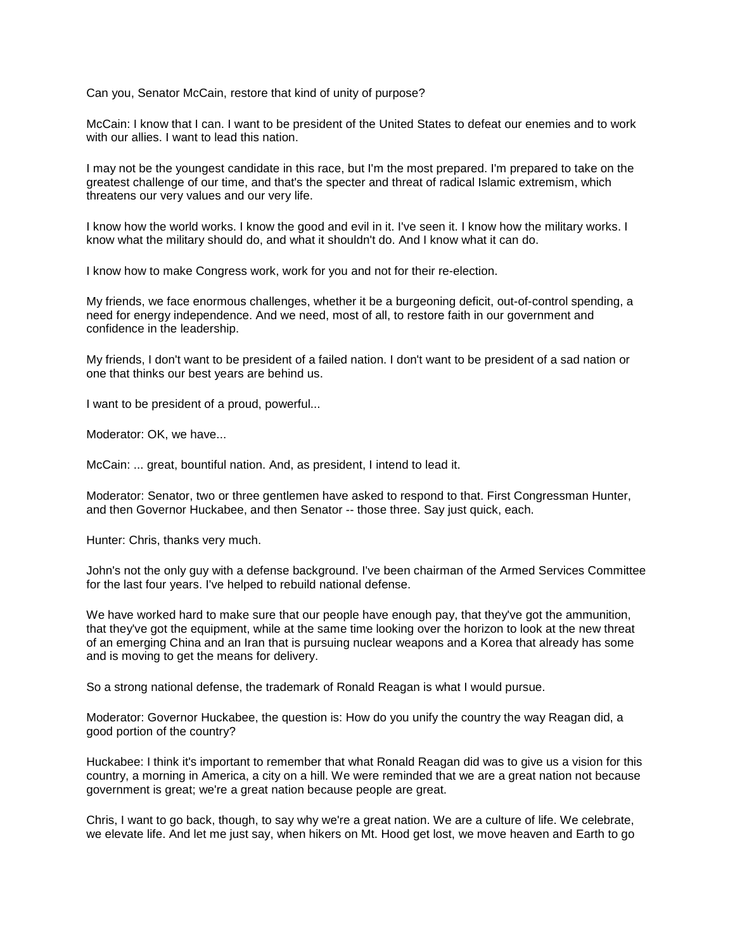Can you, Senator McCain, restore that kind of unity of purpose?

McCain: I know that I can. I want to be president of the United States to defeat our enemies and to work with our allies. I want to lead this nation.

I may not be the youngest candidate in this race, but I'm the most prepared. I'm prepared to take on the greatest challenge of our time, and that's the specter and threat of radical Islamic extremism, which threatens our very values and our very life.

I know how the world works. I know the good and evil in it. I've seen it. I know how the military works. I know what the military should do, and what it shouldn't do. And I know what it can do.

I know how to make Congress work, work for you and not for their re-election.

My friends, we face enormous challenges, whether it be a burgeoning deficit, out-of-control spending, a need for energy independence. And we need, most of all, to restore faith in our government and confidence in the leadership.

My friends, I don't want to be president of a failed nation. I don't want to be president of a sad nation or one that thinks our best years are behind us.

I want to be president of a proud, powerful...

Moderator: OK, we have...

McCain: ... great, bountiful nation. And, as president, I intend to lead it.

Moderator: Senator, two or three gentlemen have asked to respond to that. First Congressman Hunter, and then Governor Huckabee, and then Senator -- those three. Say just quick, each.

Hunter: Chris, thanks very much.

John's not the only guy with a defense background. I've been chairman of the Armed Services Committee for the last four years. I've helped to rebuild national defense.

We have worked hard to make sure that our people have enough pay, that they've got the ammunition, that they've got the equipment, while at the same time looking over the horizon to look at the new threat of an emerging China and an Iran that is pursuing nuclear weapons and a Korea that already has some and is moving to get the means for delivery.

So a strong national defense, the trademark of Ronald Reagan is what I would pursue.

Moderator: Governor Huckabee, the question is: How do you unify the country the way Reagan did, a good portion of the country?

Huckabee: I think it's important to remember that what Ronald Reagan did was to give us a vision for this country, a morning in America, a city on a hill. We were reminded that we are a great nation not because government is great; we're a great nation because people are great.

Chris, I want to go back, though, to say why we're a great nation. We are a culture of life. We celebrate, we elevate life. And let me just say, when hikers on Mt. Hood get lost, we move heaven and Earth to go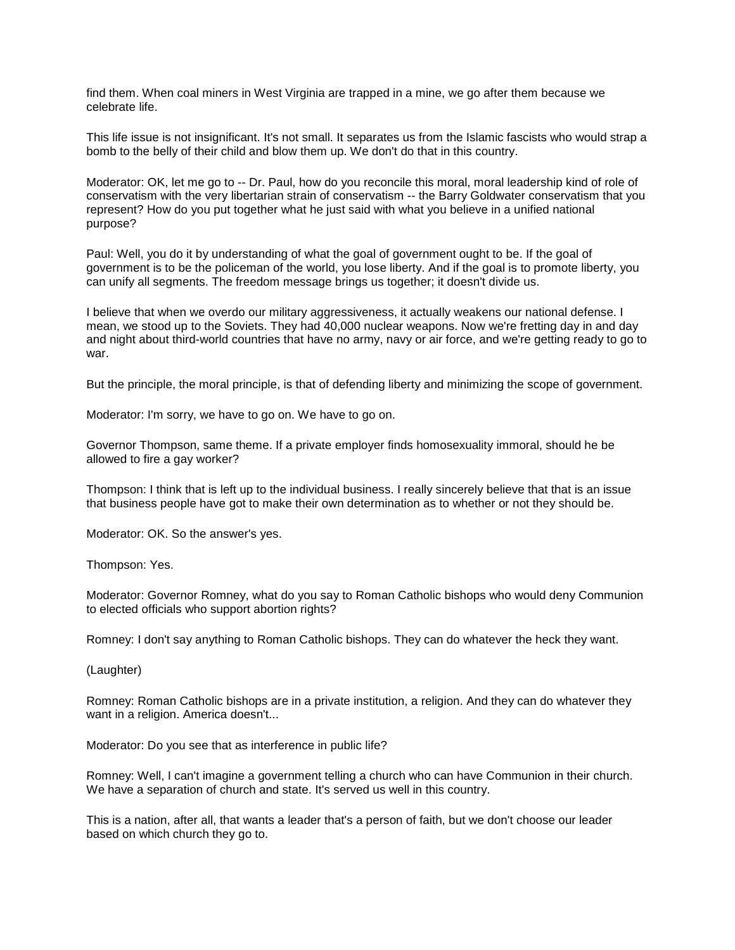find them. When coal miners in West Virginia are trapped in a mine, we go after them because we celebrate life.

This life issue is not insignificant. It's not small. It separates us from the Islamic fascists who would strap a bomb to the belly of their child and blow them up. We don't do that in this country.

Moderator: OK, let me go to -- Dr. Paul, how do you reconcile this moral, moral leadership kind of role of conservatism with the very libertarian strain of conservatism -- the Barry Goldwater conservatism that you represent? How do you put together what he just said with what you believe in a unified national purpose?

Paul: Well, you do it by understanding of what the goal of government ought to be. If the goal of government is to be the policeman of the world, you lose liberty. And if the goal is to promote liberty, you can unify all segments. The freedom message brings us together; it doesn't divide us.

I believe that when we overdo our military aggressiveness, it actually weakens our national defense. I mean, we stood up to the Soviets. They had 40,000 nuclear weapons. Now we're fretting day in and day and night about third-world countries that have no army, navy or air force, and we're getting ready to go to war.

But the principle, the moral principle, is that of defending liberty and minimizing the scope of government.

Moderator: I'm sorry, we have to go on. We have to go on.

Governor Thompson, same theme. If a private employer finds homosexuality immoral, should he be allowed to fire a gay worker?

Thompson: I think that is left up to the individual business. I really sincerely believe that that is an issue that business people have got to make their own determination as to whether or not they should be.

Moderator: OK. So the answer's yes.

Thompson: Yes.

Moderator: Governor Romney, what do you say to Roman Catholic bishops who would deny Communion to elected officials who support abortion rights?

Romney: I don't say anything to Roman Catholic bishops. They can do whatever the heck they want.

(Laughter)

Romney: Roman Catholic bishops are in a private institution, a religion. And they can do whatever they want in a religion. America doesn't...

Moderator: Do you see that as interference in public life?

Romney: Well, I can't imagine a government telling a church who can have Communion in their church. We have a separation of church and state. It's served us well in this country.

This is a nation, after all, that wants a leader that's a person of faith, but we don't choose our leader based on which church they go to.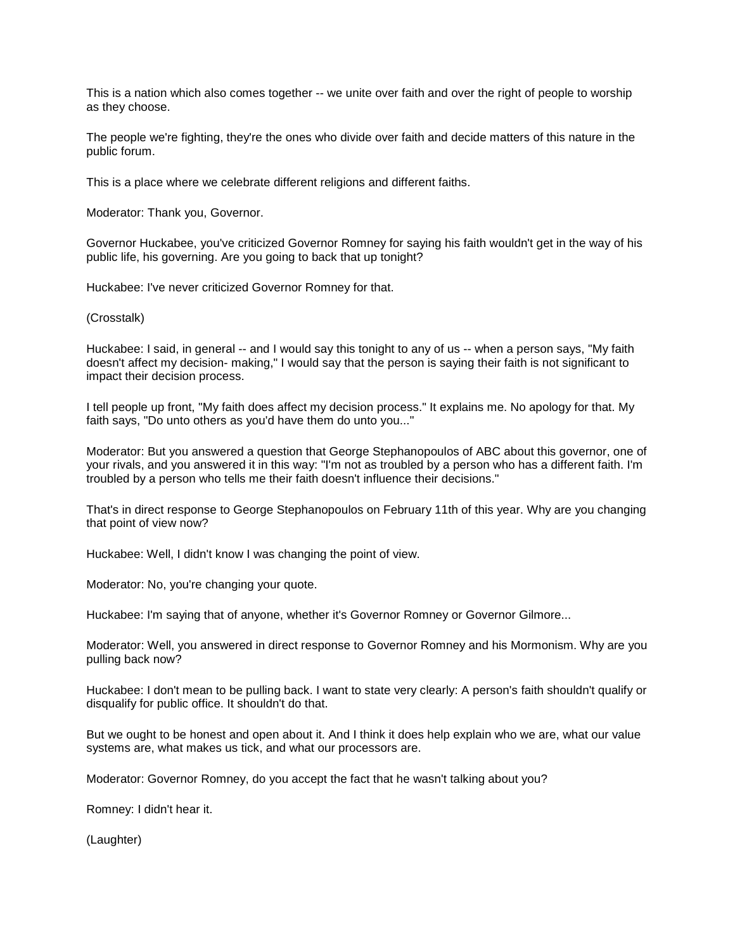This is a nation which also comes together -- we unite over faith and over the right of people to worship as they choose.

The people we're fighting, they're the ones who divide over faith and decide matters of this nature in the public forum.

This is a place where we celebrate different religions and different faiths.

Moderator: Thank you, Governor.

Governor Huckabee, you've criticized Governor Romney for saying his faith wouldn't get in the way of his public life, his governing. Are you going to back that up tonight?

Huckabee: I've never criticized Governor Romney for that.

(Crosstalk)

Huckabee: I said, in general -- and I would say this tonight to any of us -- when a person says, "My faith doesn't affect my decision- making," I would say that the person is saying their faith is not significant to impact their decision process.

I tell people up front, "My faith does affect my decision process." It explains me. No apology for that. My faith says, "Do unto others as you'd have them do unto you..."

Moderator: But you answered a question that George Stephanopoulos of ABC about this governor, one of your rivals, and you answered it in this way: "I'm not as troubled by a person who has a different faith. I'm troubled by a person who tells me their faith doesn't influence their decisions."

That's in direct response to George Stephanopoulos on February 11th of this year. Why are you changing that point of view now?

Huckabee: Well, I didn't know I was changing the point of view.

Moderator: No, you're changing your quote.

Huckabee: I'm saying that of anyone, whether it's Governor Romney or Governor Gilmore...

Moderator: Well, you answered in direct response to Governor Romney and his Mormonism. Why are you pulling back now?

Huckabee: I don't mean to be pulling back. I want to state very clearly: A person's faith shouldn't qualify or disqualify for public office. It shouldn't do that.

But we ought to be honest and open about it. And I think it does help explain who we are, what our value systems are, what makes us tick, and what our processors are.

Moderator: Governor Romney, do you accept the fact that he wasn't talking about you?

Romney: I didn't hear it.

(Laughter)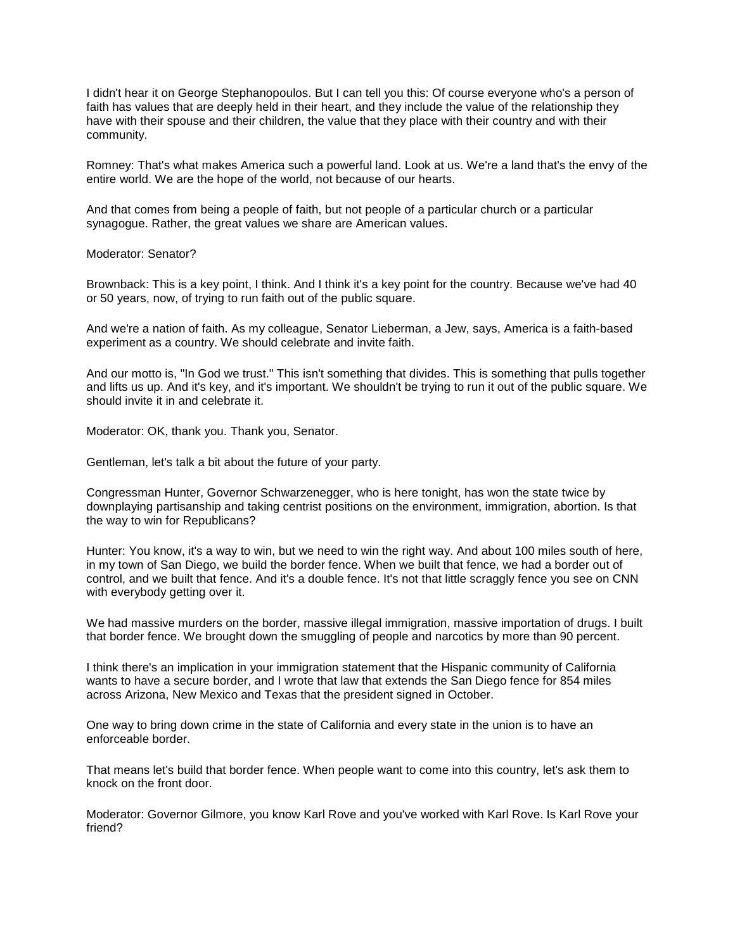I didn't hear it on George Stephanopoulos. But I can tell you this: Of course everyone who's a person of faith has values that are deeply held in their heart, and they include the value of the relationship they have with their spouse and their children, the value that they place with their country and with their community.

Romney: That's what makes America such a powerful land. Look at us. We're a land that's the envy of the entire world. We are the hope of the world, not because of our hearts.

And that comes from being a people of faith, but not people of a particular church or a particular synagogue. Rather, the great values we share are American values.

Moderator: Senator?

Brownback: This is a key point, I think. And I think it's a key point for the country. Because we've had 40 or 50 years, now, of trying to run faith out of the public square.

And we're a nation of faith. As my colleague, Senator Lieberman, a Jew, says, America is a faith-based experiment as a country. We should celebrate and invite faith.

And our motto is, "In God we trust." This isn't something that divides. This is something that pulls together and lifts us up. And it's key, and it's important. We shouldn't be trying to run it out of the public square. We should invite it in and celebrate it.

Moderator: OK, thank you. Thank you, Senator.

Gentleman, let's talk a bit about the future of your party.

Congressman Hunter, Governor Schwarzenegger, who is here tonight, has won the state twice by downplaying partisanship and taking centrist positions on the environment, immigration, abortion. Is that the way to win for Republicans?

Hunter: You know, it's a way to win, but we need to win the right way. And about 100 miles south of here, in my town of San Diego, we build the border fence. When we built that fence, we had a border out of control, and we built that fence. And it's a double fence. It's not that little scraggly fence you see on CNN with everybody getting over it.

We had massive murders on the border, massive illegal immigration, massive importation of drugs. I built that border fence. We brought down the smuggling of people and narcotics by more than 90 percent.

I think there's an implication in your immigration statement that the Hispanic community of California wants to have a secure border, and I wrote that law that extends the San Diego fence for 854 miles across Arizona, New Mexico and Texas that the president signed in October.

One way to bring down crime in the state of California and every state in the union is to have an enforceable border.

That means let's build that border fence. When people want to come into this country, let's ask them to knock on the front door.

Moderator: Governor Gilmore, you know Karl Rove and you've worked with Karl Rove. Is Karl Rove your friend?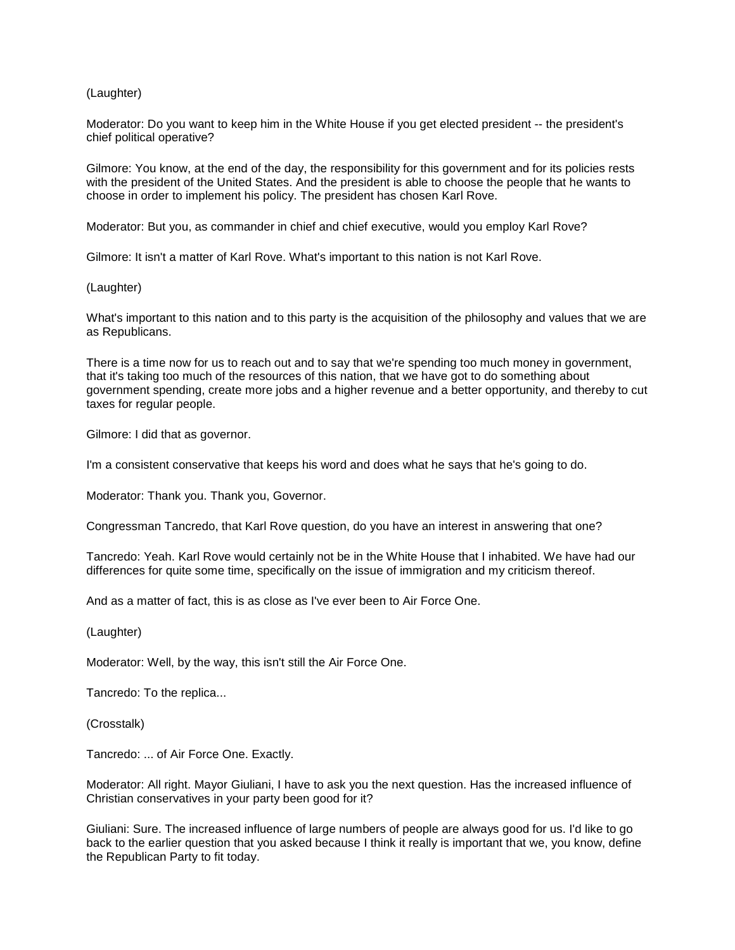## (Laughter)

Moderator: Do you want to keep him in the White House if you get elected president -- the president's chief political operative?

Gilmore: You know, at the end of the day, the responsibility for this government and for its policies rests with the president of the United States. And the president is able to choose the people that he wants to choose in order to implement his policy. The president has chosen Karl Rove.

Moderator: But you, as commander in chief and chief executive, would you employ Karl Rove?

Gilmore: It isn't a matter of Karl Rove. What's important to this nation is not Karl Rove.

### (Laughter)

What's important to this nation and to this party is the acquisition of the philosophy and values that we are as Republicans.

There is a time now for us to reach out and to say that we're spending too much money in government, that it's taking too much of the resources of this nation, that we have got to do something about government spending, create more jobs and a higher revenue and a better opportunity, and thereby to cut taxes for regular people.

Gilmore: I did that as governor.

I'm a consistent conservative that keeps his word and does what he says that he's going to do.

Moderator: Thank you. Thank you, Governor.

Congressman Tancredo, that Karl Rove question, do you have an interest in answering that one?

Tancredo: Yeah. Karl Rove would certainly not be in the White House that I inhabited. We have had our differences for quite some time, specifically on the issue of immigration and my criticism thereof.

And as a matter of fact, this is as close as I've ever been to Air Force One.

(Laughter)

Moderator: Well, by the way, this isn't still the Air Force One.

Tancredo: To the replica...

(Crosstalk)

Tancredo: ... of Air Force One. Exactly.

Moderator: All right. Mayor Giuliani, I have to ask you the next question. Has the increased influence of Christian conservatives in your party been good for it?

Giuliani: Sure. The increased influence of large numbers of people are always good for us. I'd like to go back to the earlier question that you asked because I think it really is important that we, you know, define the Republican Party to fit today.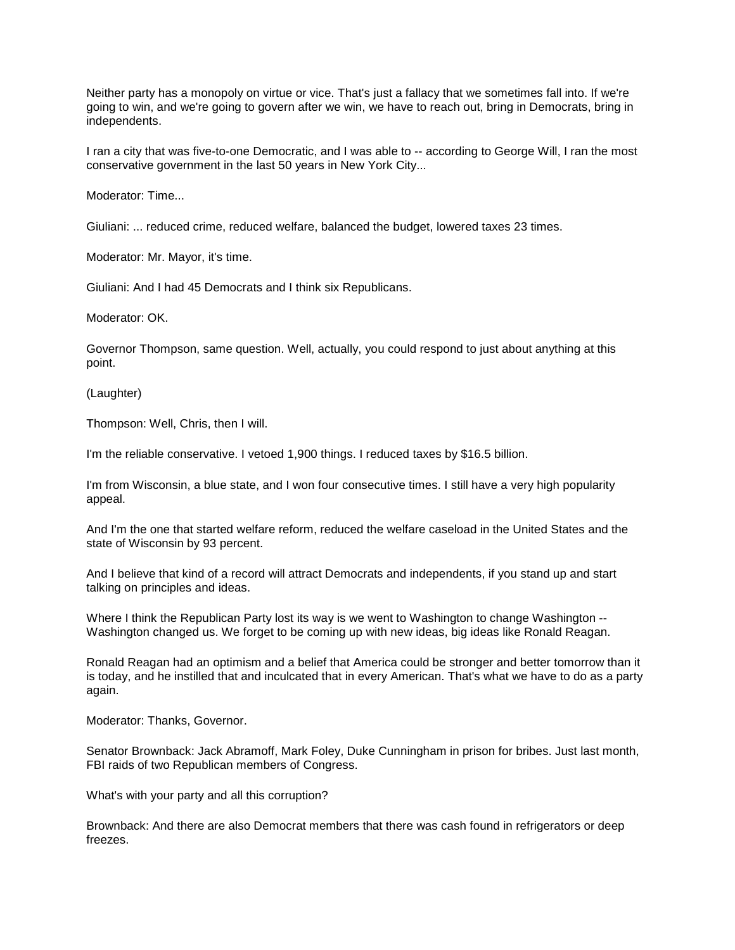Neither party has a monopoly on virtue or vice. That's just a fallacy that we sometimes fall into. If we're going to win, and we're going to govern after we win, we have to reach out, bring in Democrats, bring in independents.

I ran a city that was five-to-one Democratic, and I was able to -- according to George Will, I ran the most conservative government in the last 50 years in New York City...

Moderator: Time...

Giuliani: ... reduced crime, reduced welfare, balanced the budget, lowered taxes 23 times.

Moderator: Mr. Mayor, it's time.

Giuliani: And I had 45 Democrats and I think six Republicans.

Moderator: OK.

Governor Thompson, same question. Well, actually, you could respond to just about anything at this point.

(Laughter)

Thompson: Well, Chris, then I will.

I'm the reliable conservative. I vetoed 1,900 things. I reduced taxes by \$16.5 billion.

I'm from Wisconsin, a blue state, and I won four consecutive times. I still have a very high popularity appeal.

And I'm the one that started welfare reform, reduced the welfare caseload in the United States and the state of Wisconsin by 93 percent.

And I believe that kind of a record will attract Democrats and independents, if you stand up and start talking on principles and ideas.

Where I think the Republican Party lost its way is we went to Washington to change Washington --Washington changed us. We forget to be coming up with new ideas, big ideas like Ronald Reagan.

Ronald Reagan had an optimism and a belief that America could be stronger and better tomorrow than it is today, and he instilled that and inculcated that in every American. That's what we have to do as a party again.

Moderator: Thanks, Governor.

Senator Brownback: Jack Abramoff, Mark Foley, Duke Cunningham in prison for bribes. Just last month, FBI raids of two Republican members of Congress.

What's with your party and all this corruption?

Brownback: And there are also Democrat members that there was cash found in refrigerators or deep freezes.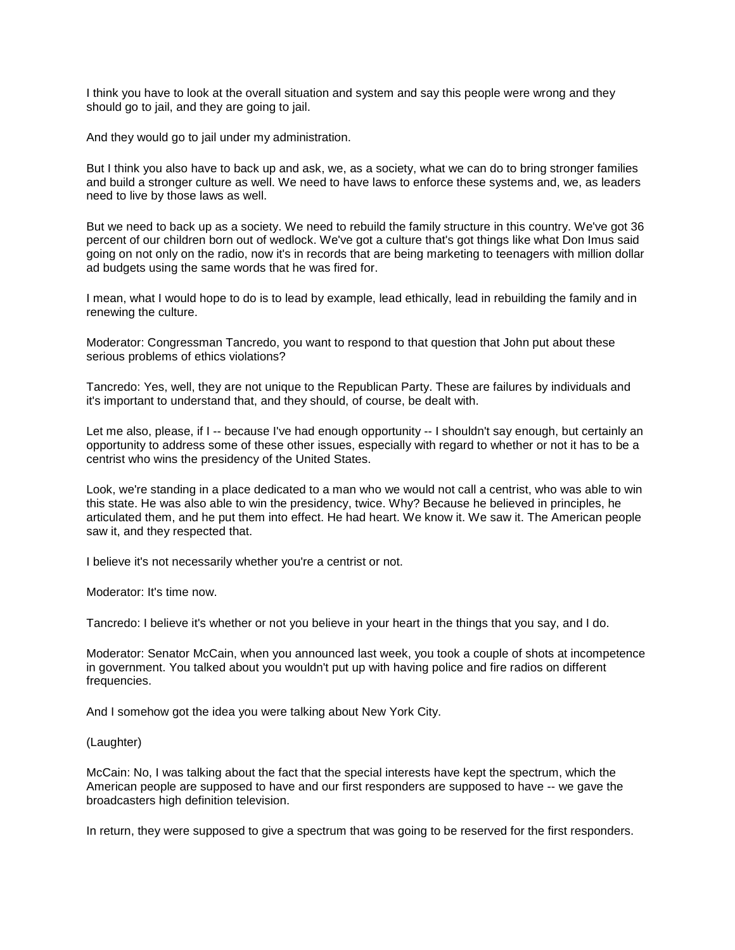I think you have to look at the overall situation and system and say this people were wrong and they should go to jail, and they are going to jail.

And they would go to jail under my administration.

But I think you also have to back up and ask, we, as a society, what we can do to bring stronger families and build a stronger culture as well. We need to have laws to enforce these systems and, we, as leaders need to live by those laws as well.

But we need to back up as a society. We need to rebuild the family structure in this country. We've got 36 percent of our children born out of wedlock. We've got a culture that's got things like what Don Imus said going on not only on the radio, now it's in records that are being marketing to teenagers with million dollar ad budgets using the same words that he was fired for.

I mean, what I would hope to do is to lead by example, lead ethically, lead in rebuilding the family and in renewing the culture.

Moderator: Congressman Tancredo, you want to respond to that question that John put about these serious problems of ethics violations?

Tancredo: Yes, well, they are not unique to the Republican Party. These are failures by individuals and it's important to understand that, and they should, of course, be dealt with.

Let me also, please, if I -- because I've had enough opportunity -- I shouldn't say enough, but certainly an opportunity to address some of these other issues, especially with regard to whether or not it has to be a centrist who wins the presidency of the United States.

Look, we're standing in a place dedicated to a man who we would not call a centrist, who was able to win this state. He was also able to win the presidency, twice. Why? Because he believed in principles, he articulated them, and he put them into effect. He had heart. We know it. We saw it. The American people saw it, and they respected that.

I believe it's not necessarily whether you're a centrist or not.

Moderator: It's time now.

Tancredo: I believe it's whether or not you believe in your heart in the things that you say, and I do.

Moderator: Senator McCain, when you announced last week, you took a couple of shots at incompetence in government. You talked about you wouldn't put up with having police and fire radios on different frequencies.

And I somehow got the idea you were talking about New York City.

(Laughter)

McCain: No, I was talking about the fact that the special interests have kept the spectrum, which the American people are supposed to have and our first responders are supposed to have -- we gave the broadcasters high definition television.

In return, they were supposed to give a spectrum that was going to be reserved for the first responders.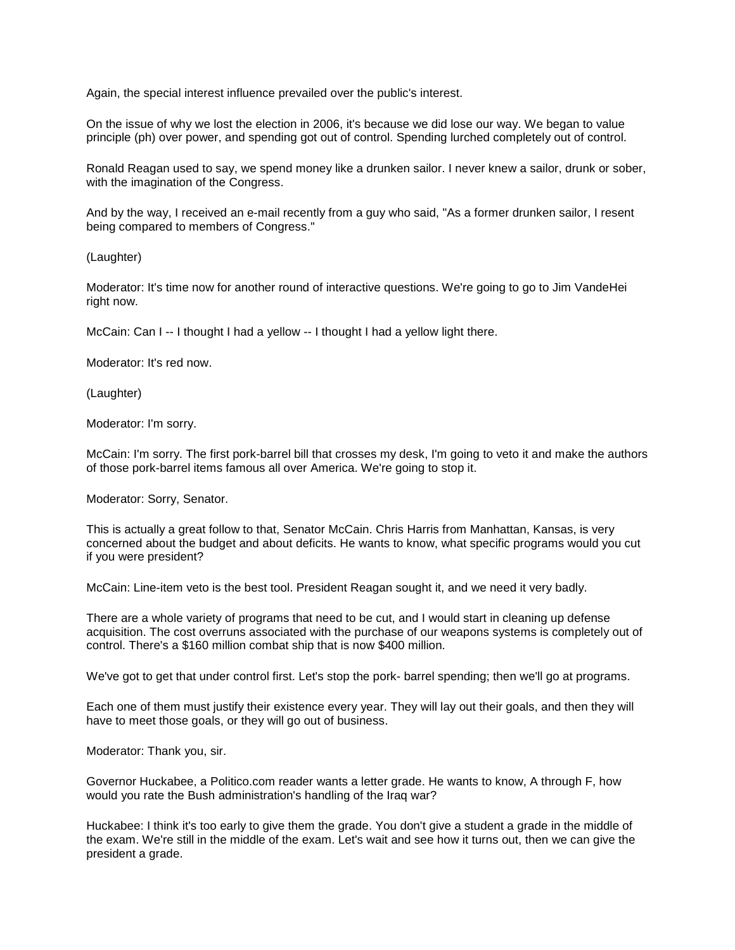Again, the special interest influence prevailed over the public's interest.

On the issue of why we lost the election in 2006, it's because we did lose our way. We began to value principle (ph) over power, and spending got out of control. Spending lurched completely out of control.

Ronald Reagan used to say, we spend money like a drunken sailor. I never knew a sailor, drunk or sober, with the imagination of the Congress.

And by the way, I received an e-mail recently from a guy who said, "As a former drunken sailor, I resent being compared to members of Congress."

(Laughter)

Moderator: It's time now for another round of interactive questions. We're going to go to Jim VandeHei right now.

McCain: Can I -- I thought I had a yellow -- I thought I had a yellow light there.

Moderator: It's red now.

(Laughter)

Moderator: I'm sorry.

McCain: I'm sorry. The first pork-barrel bill that crosses my desk, I'm going to veto it and make the authors of those pork-barrel items famous all over America. We're going to stop it.

Moderator: Sorry, Senator.

This is actually a great follow to that, Senator McCain. Chris Harris from Manhattan, Kansas, is very concerned about the budget and about deficits. He wants to know, what specific programs would you cut if you were president?

McCain: Line-item veto is the best tool. President Reagan sought it, and we need it very badly.

There are a whole variety of programs that need to be cut, and I would start in cleaning up defense acquisition. The cost overruns associated with the purchase of our weapons systems is completely out of control. There's a \$160 million combat ship that is now \$400 million.

We've got to get that under control first. Let's stop the pork- barrel spending; then we'll go at programs.

Each one of them must justify their existence every year. They will lay out their goals, and then they will have to meet those goals, or they will go out of business.

Moderator: Thank you, sir.

Governor Huckabee, a Politico.com reader wants a letter grade. He wants to know, A through F, how would you rate the Bush administration's handling of the Iraq war?

Huckabee: I think it's too early to give them the grade. You don't give a student a grade in the middle of the exam. We're still in the middle of the exam. Let's wait and see how it turns out, then we can give the president a grade.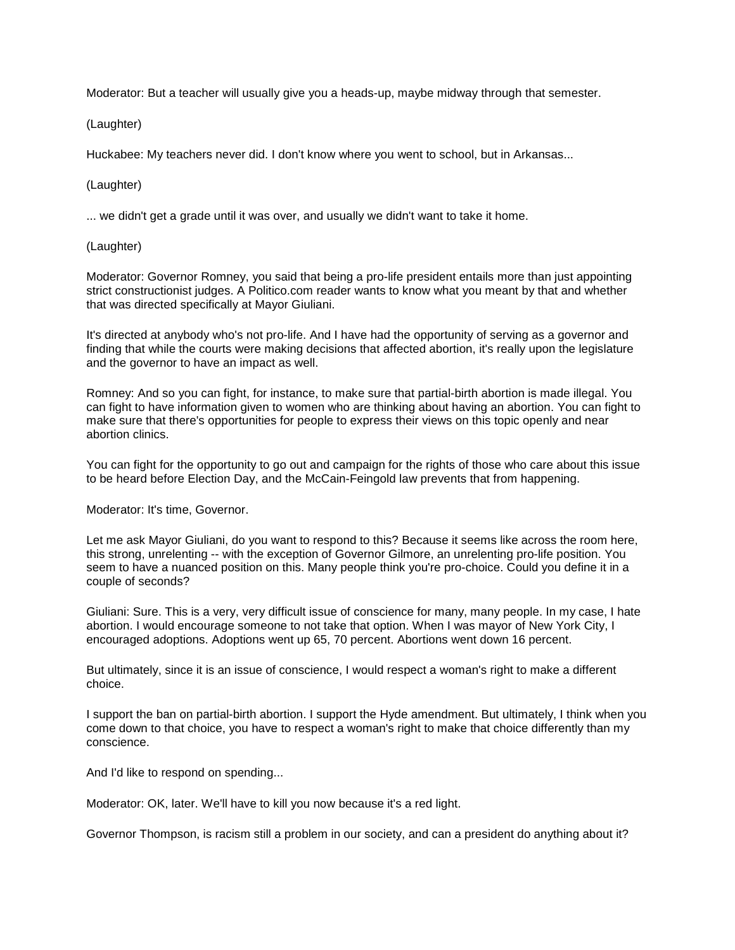Moderator: But a teacher will usually give you a heads-up, maybe midway through that semester.

(Laughter)

Huckabee: My teachers never did. I don't know where you went to school, but in Arkansas...

(Laughter)

... we didn't get a grade until it was over, and usually we didn't want to take it home.

(Laughter)

Moderator: Governor Romney, you said that being a pro-life president entails more than just appointing strict constructionist judges. A Politico.com reader wants to know what you meant by that and whether that was directed specifically at Mayor Giuliani.

It's directed at anybody who's not pro-life. And I have had the opportunity of serving as a governor and finding that while the courts were making decisions that affected abortion, it's really upon the legislature and the governor to have an impact as well.

Romney: And so you can fight, for instance, to make sure that partial-birth abortion is made illegal. You can fight to have information given to women who are thinking about having an abortion. You can fight to make sure that there's opportunities for people to express their views on this topic openly and near abortion clinics.

You can fight for the opportunity to go out and campaign for the rights of those who care about this issue to be heard before Election Day, and the McCain-Feingold law prevents that from happening.

Moderator: It's time, Governor.

Let me ask Mayor Giuliani, do you want to respond to this? Because it seems like across the room here, this strong, unrelenting -- with the exception of Governor Gilmore, an unrelenting pro-life position. You seem to have a nuanced position on this. Many people think you're pro-choice. Could you define it in a couple of seconds?

Giuliani: Sure. This is a very, very difficult issue of conscience for many, many people. In my case, I hate abortion. I would encourage someone to not take that option. When I was mayor of New York City, I encouraged adoptions. Adoptions went up 65, 70 percent. Abortions went down 16 percent.

But ultimately, since it is an issue of conscience, I would respect a woman's right to make a different choice.

I support the ban on partial-birth abortion. I support the Hyde amendment. But ultimately, I think when you come down to that choice, you have to respect a woman's right to make that choice differently than my conscience.

And I'd like to respond on spending...

Moderator: OK, later. We'll have to kill you now because it's a red light.

Governor Thompson, is racism still a problem in our society, and can a president do anything about it?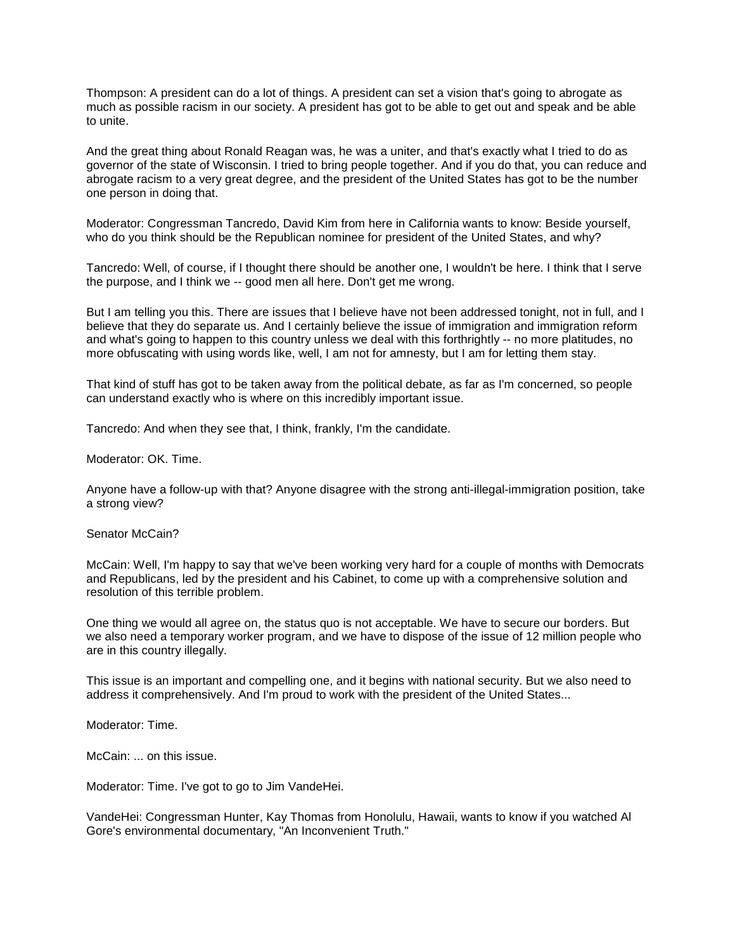Thompson: A president can do a lot of things. A president can set a vision that's going to abrogate as much as possible racism in our society. A president has got to be able to get out and speak and be able to unite.

And the great thing about Ronald Reagan was, he was a uniter, and that's exactly what I tried to do as governor of the state of Wisconsin. I tried to bring people together. And if you do that, you can reduce and abrogate racism to a very great degree, and the president of the United States has got to be the number one person in doing that.

Moderator: Congressman Tancredo, David Kim from here in California wants to know: Beside yourself, who do you think should be the Republican nominee for president of the United States, and why?

Tancredo: Well, of course, if I thought there should be another one, I wouldn't be here. I think that I serve the purpose, and I think we -- good men all here. Don't get me wrong.

But I am telling you this. There are issues that I believe have not been addressed tonight, not in full, and I believe that they do separate us. And I certainly believe the issue of immigration and immigration reform and what's going to happen to this country unless we deal with this forthrightly -- no more platitudes, no more obfuscating with using words like, well, I am not for amnesty, but I am for letting them stay.

That kind of stuff has got to be taken away from the political debate, as far as I'm concerned, so people can understand exactly who is where on this incredibly important issue.

Tancredo: And when they see that, I think, frankly, I'm the candidate.

Moderator: OK. Time.

Anyone have a follow-up with that? Anyone disagree with the strong anti-illegal-immigration position, take a strong view?

### Senator McCain?

McCain: Well, I'm happy to say that we've been working very hard for a couple of months with Democrats and Republicans, led by the president and his Cabinet, to come up with a comprehensive solution and resolution of this terrible problem.

One thing we would all agree on, the status quo is not acceptable. We have to secure our borders. But we also need a temporary worker program, and we have to dispose of the issue of 12 million people who are in this country illegally.

This issue is an important and compelling one, and it begins with national security. But we also need to address it comprehensively. And I'm proud to work with the president of the United States...

Moderator: Time.

McCain: ... on this issue.

Moderator: Time. I've got to go to Jim VandeHei.

VandeHei: Congressman Hunter, Kay Thomas from Honolulu, Hawaii, wants to know if you watched Al Gore's environmental documentary, "An Inconvenient Truth."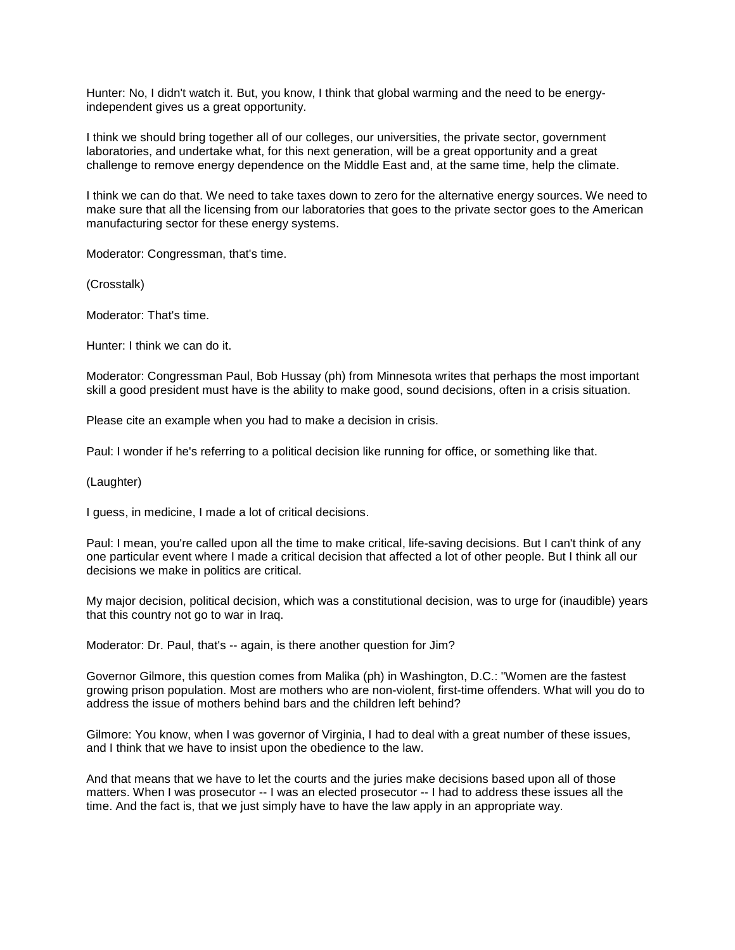Hunter: No, I didn't watch it. But, you know, I think that global warming and the need to be energyindependent gives us a great opportunity.

I think we should bring together all of our colleges, our universities, the private sector, government laboratories, and undertake what, for this next generation, will be a great opportunity and a great challenge to remove energy dependence on the Middle East and, at the same time, help the climate.

I think we can do that. We need to take taxes down to zero for the alternative energy sources. We need to make sure that all the licensing from our laboratories that goes to the private sector goes to the American manufacturing sector for these energy systems.

Moderator: Congressman, that's time.

(Crosstalk)

Moderator: That's time.

Hunter: I think we can do it.

Moderator: Congressman Paul, Bob Hussay (ph) from Minnesota writes that perhaps the most important skill a good president must have is the ability to make good, sound decisions, often in a crisis situation.

Please cite an example when you had to make a decision in crisis.

Paul: I wonder if he's referring to a political decision like running for office, or something like that.

(Laughter)

I guess, in medicine, I made a lot of critical decisions.

Paul: I mean, you're called upon all the time to make critical, life-saving decisions. But I can't think of any one particular event where I made a critical decision that affected a lot of other people. But I think all our decisions we make in politics are critical.

My major decision, political decision, which was a constitutional decision, was to urge for (inaudible) years that this country not go to war in Iraq.

Moderator: Dr. Paul, that's -- again, is there another question for Jim?

Governor Gilmore, this question comes from Malika (ph) in Washington, D.C.: "Women are the fastest growing prison population. Most are mothers who are non-violent, first-time offenders. What will you do to address the issue of mothers behind bars and the children left behind?

Gilmore: You know, when I was governor of Virginia, I had to deal with a great number of these issues, and I think that we have to insist upon the obedience to the law.

And that means that we have to let the courts and the juries make decisions based upon all of those matters. When I was prosecutor -- I was an elected prosecutor -- I had to address these issues all the time. And the fact is, that we just simply have to have the law apply in an appropriate way.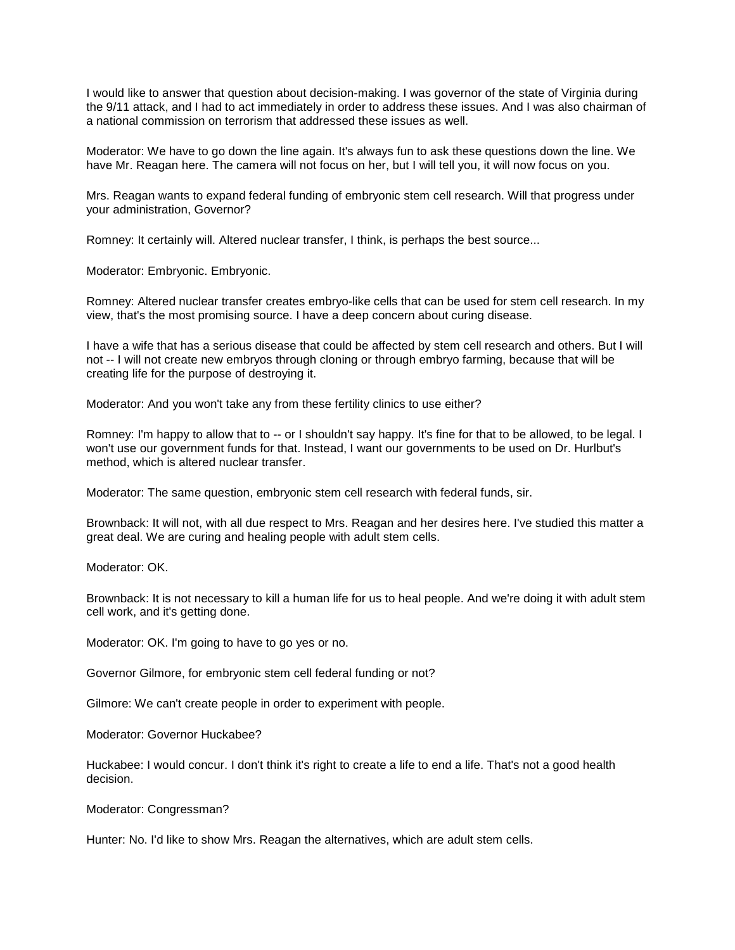I would like to answer that question about decision-making. I was governor of the state of Virginia during the 9/11 attack, and I had to act immediately in order to address these issues. And I was also chairman of a national commission on terrorism that addressed these issues as well.

Moderator: We have to go down the line again. It's always fun to ask these questions down the line. We have Mr. Reagan here. The camera will not focus on her, but I will tell you, it will now focus on you.

Mrs. Reagan wants to expand federal funding of embryonic stem cell research. Will that progress under your administration, Governor?

Romney: It certainly will. Altered nuclear transfer, I think, is perhaps the best source...

Moderator: Embryonic. Embryonic.

Romney: Altered nuclear transfer creates embryo-like cells that can be used for stem cell research. In my view, that's the most promising source. I have a deep concern about curing disease.

I have a wife that has a serious disease that could be affected by stem cell research and others. But I will not -- I will not create new embryos through cloning or through embryo farming, because that will be creating life for the purpose of destroying it.

Moderator: And you won't take any from these fertility clinics to use either?

Romney: I'm happy to allow that to -- or I shouldn't say happy. It's fine for that to be allowed, to be legal. I won't use our government funds for that. Instead, I want our governments to be used on Dr. Hurlbut's method, which is altered nuclear transfer.

Moderator: The same question, embryonic stem cell research with federal funds, sir.

Brownback: It will not, with all due respect to Mrs. Reagan and her desires here. I've studied this matter a great deal. We are curing and healing people with adult stem cells.

Moderator: OK.

Brownback: It is not necessary to kill a human life for us to heal people. And we're doing it with adult stem cell work, and it's getting done.

Moderator: OK. I'm going to have to go yes or no.

Governor Gilmore, for embryonic stem cell federal funding or not?

Gilmore: We can't create people in order to experiment with people.

Moderator: Governor Huckabee?

Huckabee: I would concur. I don't think it's right to create a life to end a life. That's not a good health decision.

Moderator: Congressman?

Hunter: No. I'd like to show Mrs. Reagan the alternatives, which are adult stem cells.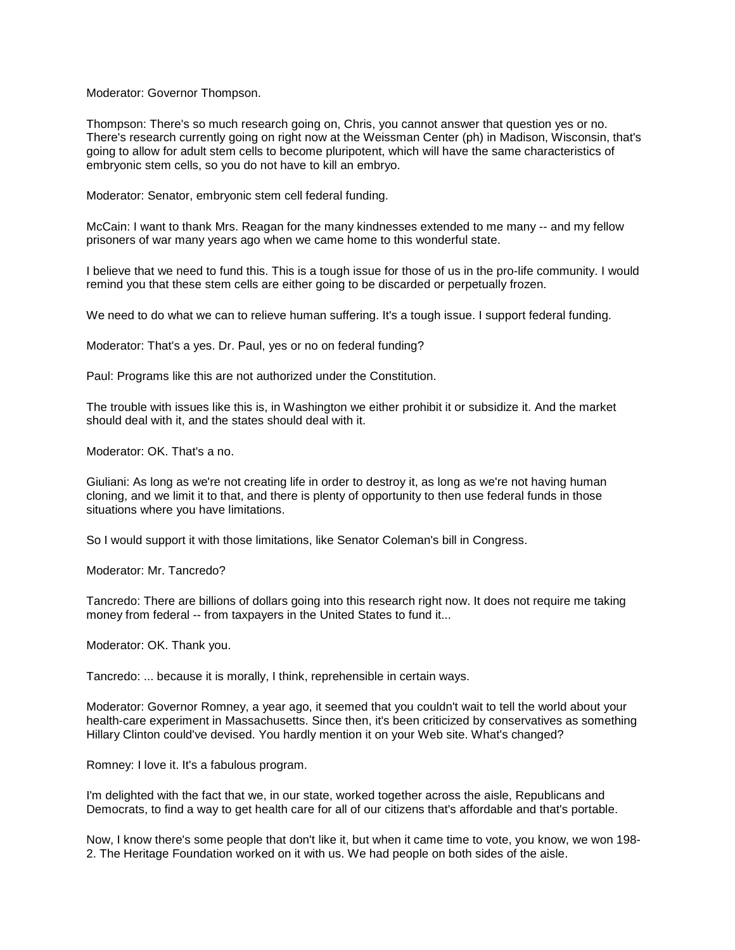Moderator: Governor Thompson.

Thompson: There's so much research going on, Chris, you cannot answer that question yes or no. There's research currently going on right now at the Weissman Center (ph) in Madison, Wisconsin, that's going to allow for adult stem cells to become pluripotent, which will have the same characteristics of embryonic stem cells, so you do not have to kill an embryo.

Moderator: Senator, embryonic stem cell federal funding.

McCain: I want to thank Mrs. Reagan for the many kindnesses extended to me many -- and my fellow prisoners of war many years ago when we came home to this wonderful state.

I believe that we need to fund this. This is a tough issue for those of us in the pro-life community. I would remind you that these stem cells are either going to be discarded or perpetually frozen.

We need to do what we can to relieve human suffering. It's a tough issue. I support federal funding.

Moderator: That's a yes. Dr. Paul, yes or no on federal funding?

Paul: Programs like this are not authorized under the Constitution.

The trouble with issues like this is, in Washington we either prohibit it or subsidize it. And the market should deal with it, and the states should deal with it.

Moderator: OK. That's a no.

Giuliani: As long as we're not creating life in order to destroy it, as long as we're not having human cloning, and we limit it to that, and there is plenty of opportunity to then use federal funds in those situations where you have limitations.

So I would support it with those limitations, like Senator Coleman's bill in Congress.

Moderator: Mr. Tancredo?

Tancredo: There are billions of dollars going into this research right now. It does not require me taking money from federal -- from taxpayers in the United States to fund it...

Moderator: OK. Thank you.

Tancredo: ... because it is morally, I think, reprehensible in certain ways.

Moderator: Governor Romney, a year ago, it seemed that you couldn't wait to tell the world about your health-care experiment in Massachusetts. Since then, it's been criticized by conservatives as something Hillary Clinton could've devised. You hardly mention it on your Web site. What's changed?

Romney: I love it. It's a fabulous program.

I'm delighted with the fact that we, in our state, worked together across the aisle, Republicans and Democrats, to find a way to get health care for all of our citizens that's affordable and that's portable.

Now, I know there's some people that don't like it, but when it came time to vote, you know, we won 198- 2. The Heritage Foundation worked on it with us. We had people on both sides of the aisle.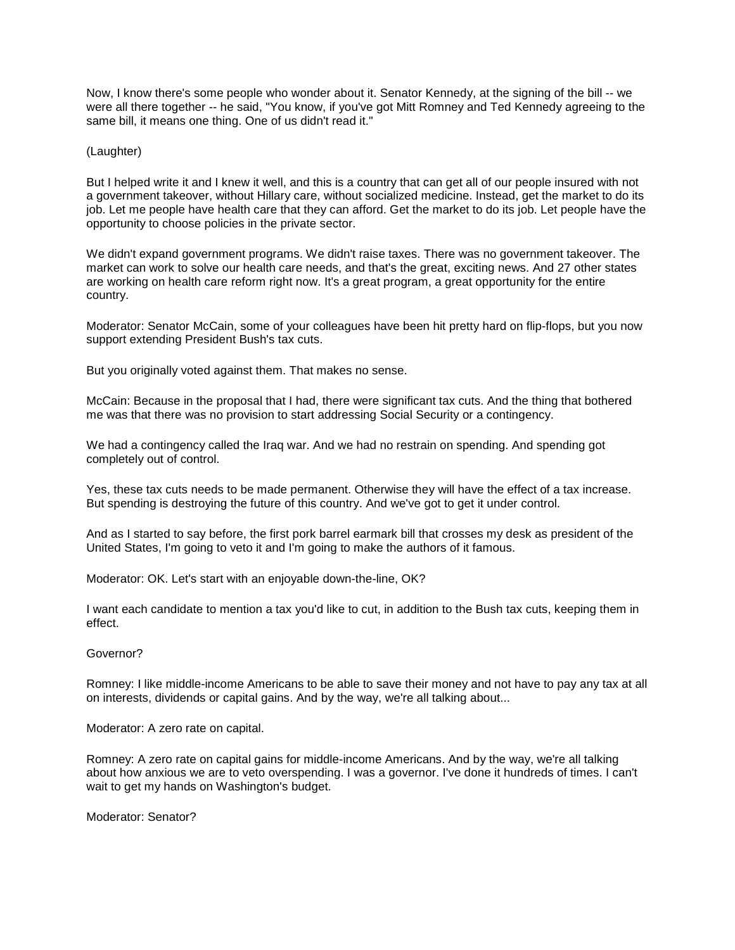Now, I know there's some people who wonder about it. Senator Kennedy, at the signing of the bill -- we were all there together -- he said, "You know, if you've got Mitt Romney and Ted Kennedy agreeing to the same bill, it means one thing. One of us didn't read it."

## (Laughter)

But I helped write it and I knew it well, and this is a country that can get all of our people insured with not a government takeover, without Hillary care, without socialized medicine. Instead, get the market to do its job. Let me people have health care that they can afford. Get the market to do its job. Let people have the opportunity to choose policies in the private sector.

We didn't expand government programs. We didn't raise taxes. There was no government takeover. The market can work to solve our health care needs, and that's the great, exciting news. And 27 other states are working on health care reform right now. It's a great program, a great opportunity for the entire country.

Moderator: Senator McCain, some of your colleagues have been hit pretty hard on flip-flops, but you now support extending President Bush's tax cuts.

But you originally voted against them. That makes no sense.

McCain: Because in the proposal that I had, there were significant tax cuts. And the thing that bothered me was that there was no provision to start addressing Social Security or a contingency.

We had a contingency called the Iraq war. And we had no restrain on spending. And spending got completely out of control.

Yes, these tax cuts needs to be made permanent. Otherwise they will have the effect of a tax increase. But spending is destroying the future of this country. And we've got to get it under control.

And as I started to say before, the first pork barrel earmark bill that crosses my desk as president of the United States, I'm going to veto it and I'm going to make the authors of it famous.

Moderator: OK. Let's start with an enjoyable down-the-line, OK?

I want each candidate to mention a tax you'd like to cut, in addition to the Bush tax cuts, keeping them in effect.

# Governor?

Romney: I like middle-income Americans to be able to save their money and not have to pay any tax at all on interests, dividends or capital gains. And by the way, we're all talking about...

Moderator: A zero rate on capital.

Romney: A zero rate on capital gains for middle-income Americans. And by the way, we're all talking about how anxious we are to veto overspending. I was a governor. I've done it hundreds of times. I can't wait to get my hands on Washington's budget.

Moderator: Senator?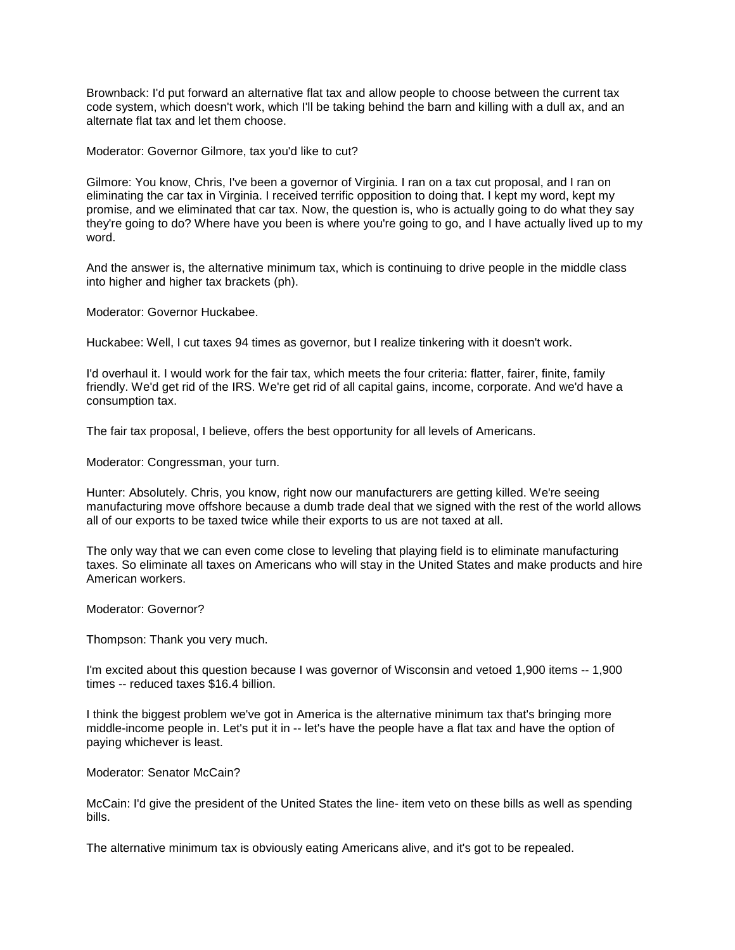Brownback: I'd put forward an alternative flat tax and allow people to choose between the current tax code system, which doesn't work, which I'll be taking behind the barn and killing with a dull ax, and an alternate flat tax and let them choose.

Moderator: Governor Gilmore, tax you'd like to cut?

Gilmore: You know, Chris, I've been a governor of Virginia. I ran on a tax cut proposal, and I ran on eliminating the car tax in Virginia. I received terrific opposition to doing that. I kept my word, kept my promise, and we eliminated that car tax. Now, the question is, who is actually going to do what they say they're going to do? Where have you been is where you're going to go, and I have actually lived up to my word.

And the answer is, the alternative minimum tax, which is continuing to drive people in the middle class into higher and higher tax brackets (ph).

Moderator: Governor Huckabee.

Huckabee: Well, I cut taxes 94 times as governor, but I realize tinkering with it doesn't work.

I'd overhaul it. I would work for the fair tax, which meets the four criteria: flatter, fairer, finite, family friendly. We'd get rid of the IRS. We're get rid of all capital gains, income, corporate. And we'd have a consumption tax.

The fair tax proposal, I believe, offers the best opportunity for all levels of Americans.

Moderator: Congressman, your turn.

Hunter: Absolutely. Chris, you know, right now our manufacturers are getting killed. We're seeing manufacturing move offshore because a dumb trade deal that we signed with the rest of the world allows all of our exports to be taxed twice while their exports to us are not taxed at all.

The only way that we can even come close to leveling that playing field is to eliminate manufacturing taxes. So eliminate all taxes on Americans who will stay in the United States and make products and hire American workers.

Moderator: Governor?

Thompson: Thank you very much.

I'm excited about this question because I was governor of Wisconsin and vetoed 1,900 items -- 1,900 times -- reduced taxes \$16.4 billion.

I think the biggest problem we've got in America is the alternative minimum tax that's bringing more middle-income people in. Let's put it in -- let's have the people have a flat tax and have the option of paying whichever is least.

Moderator: Senator McCain?

McCain: I'd give the president of the United States the line- item veto on these bills as well as spending bills.

The alternative minimum tax is obviously eating Americans alive, and it's got to be repealed.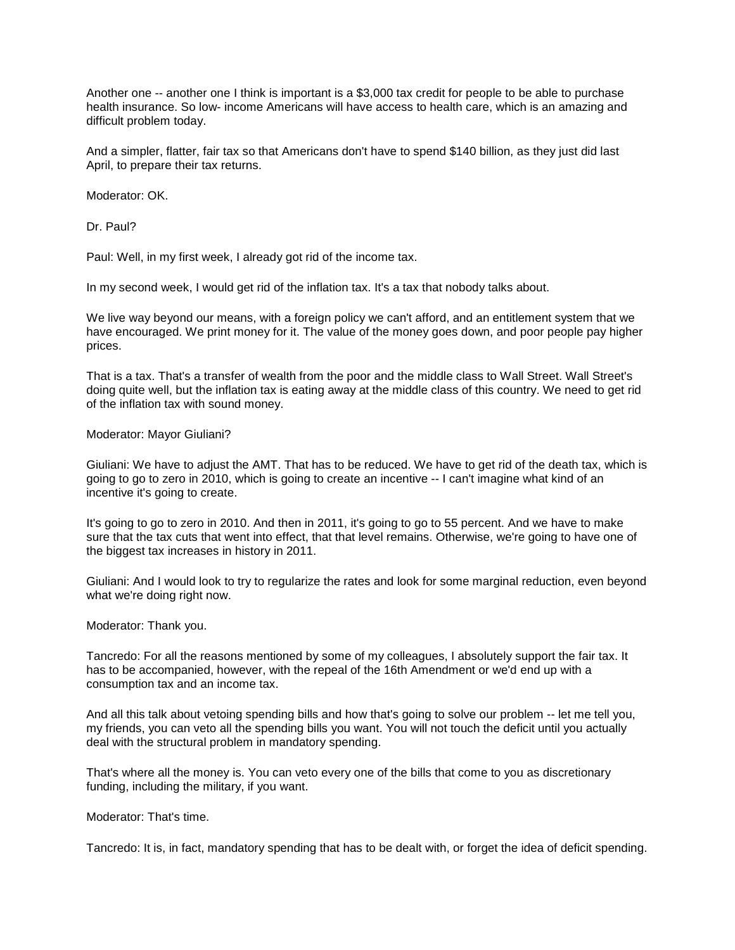Another one -- another one I think is important is a \$3,000 tax credit for people to be able to purchase health insurance. So low- income Americans will have access to health care, which is an amazing and difficult problem today.

And a simpler, flatter, fair tax so that Americans don't have to spend \$140 billion, as they just did last April, to prepare their tax returns.

Moderator: OK.

Dr. Paul?

Paul: Well, in my first week, I already got rid of the income tax.

In my second week, I would get rid of the inflation tax. It's a tax that nobody talks about.

We live way beyond our means, with a foreign policy we can't afford, and an entitlement system that we have encouraged. We print money for it. The value of the money goes down, and poor people pay higher prices.

That is a tax. That's a transfer of wealth from the poor and the middle class to Wall Street. Wall Street's doing quite well, but the inflation tax is eating away at the middle class of this country. We need to get rid of the inflation tax with sound money.

Moderator: Mayor Giuliani?

Giuliani: We have to adjust the AMT. That has to be reduced. We have to get rid of the death tax, which is going to go to zero in 2010, which is going to create an incentive -- I can't imagine what kind of an incentive it's going to create.

It's going to go to zero in 2010. And then in 2011, it's going to go to 55 percent. And we have to make sure that the tax cuts that went into effect, that that level remains. Otherwise, we're going to have one of the biggest tax increases in history in 2011.

Giuliani: And I would look to try to regularize the rates and look for some marginal reduction, even beyond what we're doing right now.

Moderator: Thank you.

Tancredo: For all the reasons mentioned by some of my colleagues, I absolutely support the fair tax. It has to be accompanied, however, with the repeal of the 16th Amendment or we'd end up with a consumption tax and an income tax.

And all this talk about vetoing spending bills and how that's going to solve our problem -- let me tell you, my friends, you can veto all the spending bills you want. You will not touch the deficit until you actually deal with the structural problem in mandatory spending.

That's where all the money is. You can veto every one of the bills that come to you as discretionary funding, including the military, if you want.

Moderator: That's time.

Tancredo: It is, in fact, mandatory spending that has to be dealt with, or forget the idea of deficit spending.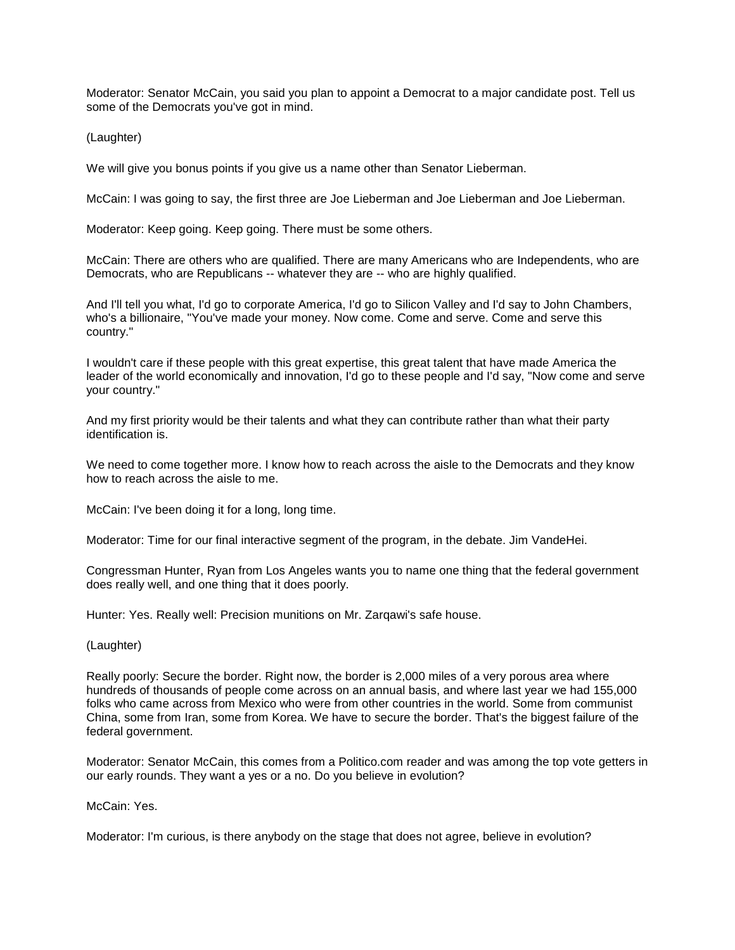Moderator: Senator McCain, you said you plan to appoint a Democrat to a major candidate post. Tell us some of the Democrats you've got in mind.

(Laughter)

We will give you bonus points if you give us a name other than Senator Lieberman.

McCain: I was going to say, the first three are Joe Lieberman and Joe Lieberman and Joe Lieberman.

Moderator: Keep going. Keep going. There must be some others.

McCain: There are others who are qualified. There are many Americans who are Independents, who are Democrats, who are Republicans -- whatever they are -- who are highly qualified.

And I'll tell you what, I'd go to corporate America, I'd go to Silicon Valley and I'd say to John Chambers, who's a billionaire, "You've made your money. Now come. Come and serve. Come and serve this country."

I wouldn't care if these people with this great expertise, this great talent that have made America the leader of the world economically and innovation, I'd go to these people and I'd say, "Now come and serve your country."

And my first priority would be their talents and what they can contribute rather than what their party identification is.

We need to come together more. I know how to reach across the aisle to the Democrats and they know how to reach across the aisle to me.

McCain: I've been doing it for a long, long time.

Moderator: Time for our final interactive segment of the program, in the debate. Jim VandeHei.

Congressman Hunter, Ryan from Los Angeles wants you to name one thing that the federal government does really well, and one thing that it does poorly.

Hunter: Yes. Really well: Precision munitions on Mr. Zarqawi's safe house.

(Laughter)

Really poorly: Secure the border. Right now, the border is 2,000 miles of a very porous area where hundreds of thousands of people come across on an annual basis, and where last year we had 155,000 folks who came across from Mexico who were from other countries in the world. Some from communist China, some from Iran, some from Korea. We have to secure the border. That's the biggest failure of the federal government.

Moderator: Senator McCain, this comes from a Politico.com reader and was among the top vote getters in our early rounds. They want a yes or a no. Do you believe in evolution?

McCain: Yes.

Moderator: I'm curious, is there anybody on the stage that does not agree, believe in evolution?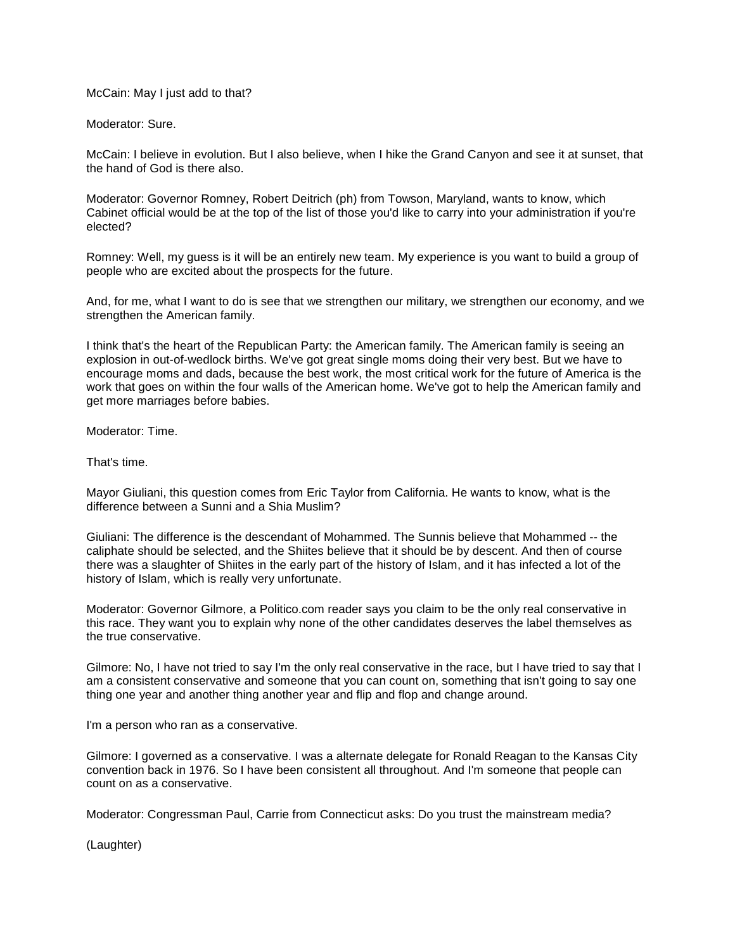McCain: May I just add to that?

Moderator: Sure.

McCain: I believe in evolution. But I also believe, when I hike the Grand Canyon and see it at sunset, that the hand of God is there also.

Moderator: Governor Romney, Robert Deitrich (ph) from Towson, Maryland, wants to know, which Cabinet official would be at the top of the list of those you'd like to carry into your administration if you're elected?

Romney: Well, my guess is it will be an entirely new team. My experience is you want to build a group of people who are excited about the prospects for the future.

And, for me, what I want to do is see that we strengthen our military, we strengthen our economy, and we strengthen the American family.

I think that's the heart of the Republican Party: the American family. The American family is seeing an explosion in out-of-wedlock births. We've got great single moms doing their very best. But we have to encourage moms and dads, because the best work, the most critical work for the future of America is the work that goes on within the four walls of the American home. We've got to help the American family and get more marriages before babies.

Moderator: Time.

That's time.

Mayor Giuliani, this question comes from Eric Taylor from California. He wants to know, what is the difference between a Sunni and a Shia Muslim?

Giuliani: The difference is the descendant of Mohammed. The Sunnis believe that Mohammed -- the caliphate should be selected, and the Shiites believe that it should be by descent. And then of course there was a slaughter of Shiites in the early part of the history of Islam, and it has infected a lot of the history of Islam, which is really very unfortunate.

Moderator: Governor Gilmore, a Politico.com reader says you claim to be the only real conservative in this race. They want you to explain why none of the other candidates deserves the label themselves as the true conservative.

Gilmore: No, I have not tried to say I'm the only real conservative in the race, but I have tried to say that I am a consistent conservative and someone that you can count on, something that isn't going to say one thing one year and another thing another year and flip and flop and change around.

I'm a person who ran as a conservative.

Gilmore: I governed as a conservative. I was a alternate delegate for Ronald Reagan to the Kansas City convention back in 1976. So I have been consistent all throughout. And I'm someone that people can count on as a conservative.

Moderator: Congressman Paul, Carrie from Connecticut asks: Do you trust the mainstream media?

(Laughter)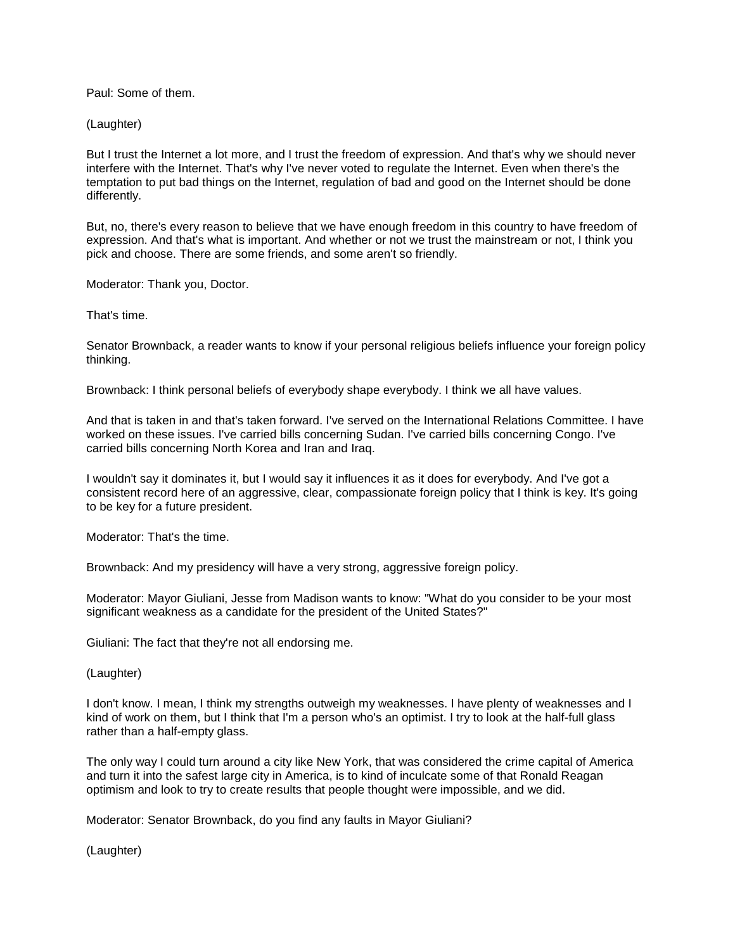Paul: Some of them.

(Laughter)

But I trust the Internet a lot more, and I trust the freedom of expression. And that's why we should never interfere with the Internet. That's why I've never voted to regulate the Internet. Even when there's the temptation to put bad things on the Internet, regulation of bad and good on the Internet should be done differently.

But, no, there's every reason to believe that we have enough freedom in this country to have freedom of expression. And that's what is important. And whether or not we trust the mainstream or not, I think you pick and choose. There are some friends, and some aren't so friendly.

Moderator: Thank you, Doctor.

That's time.

Senator Brownback, a reader wants to know if your personal religious beliefs influence your foreign policy thinking.

Brownback: I think personal beliefs of everybody shape everybody. I think we all have values.

And that is taken in and that's taken forward. I've served on the International Relations Committee. I have worked on these issues. I've carried bills concerning Sudan. I've carried bills concerning Congo. I've carried bills concerning North Korea and Iran and Iraq.

I wouldn't say it dominates it, but I would say it influences it as it does for everybody. And I've got a consistent record here of an aggressive, clear, compassionate foreign policy that I think is key. It's going to be key for a future president.

Moderator: That's the time.

Brownback: And my presidency will have a very strong, aggressive foreign policy.

Moderator: Mayor Giuliani, Jesse from Madison wants to know: "What do you consider to be your most significant weakness as a candidate for the president of the United States?"

Giuliani: The fact that they're not all endorsing me.

(Laughter)

I don't know. I mean, I think my strengths outweigh my weaknesses. I have plenty of weaknesses and I kind of work on them, but I think that I'm a person who's an optimist. I try to look at the half-full glass rather than a half-empty glass.

The only way I could turn around a city like New York, that was considered the crime capital of America and turn it into the safest large city in America, is to kind of inculcate some of that Ronald Reagan optimism and look to try to create results that people thought were impossible, and we did.

Moderator: Senator Brownback, do you find any faults in Mayor Giuliani?

(Laughter)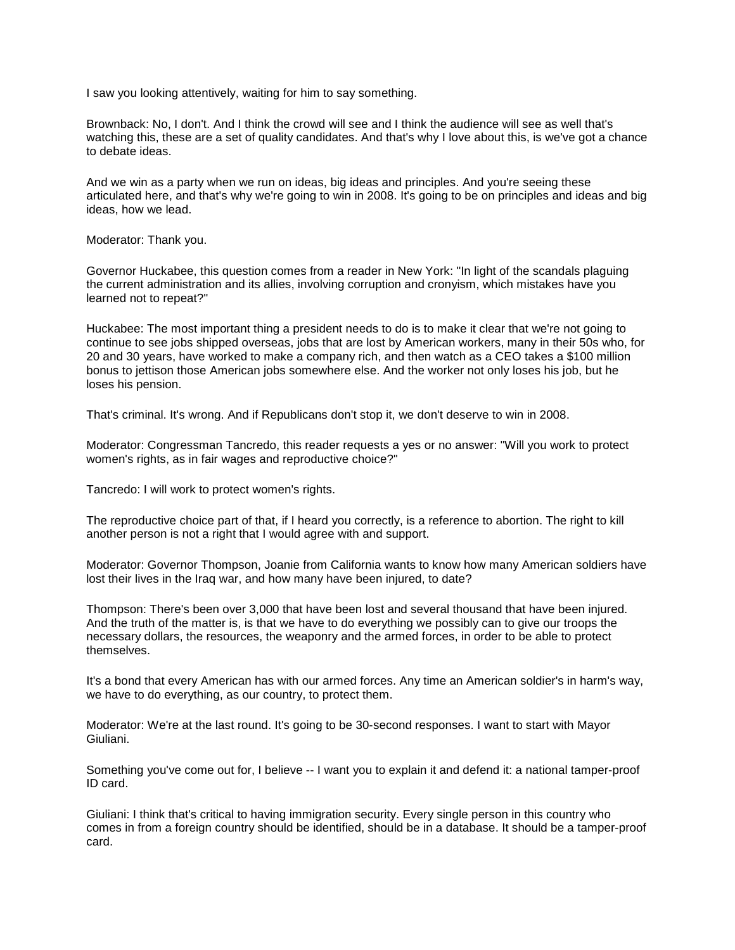I saw you looking attentively, waiting for him to say something.

Brownback: No, I don't. And I think the crowd will see and I think the audience will see as well that's watching this, these are a set of quality candidates. And that's why I love about this, is we've got a chance to debate ideas.

And we win as a party when we run on ideas, big ideas and principles. And you're seeing these articulated here, and that's why we're going to win in 2008. It's going to be on principles and ideas and big ideas, how we lead.

Moderator: Thank you.

Governor Huckabee, this question comes from a reader in New York: "In light of the scandals plaguing the current administration and its allies, involving corruption and cronyism, which mistakes have you learned not to repeat?"

Huckabee: The most important thing a president needs to do is to make it clear that we're not going to continue to see jobs shipped overseas, jobs that are lost by American workers, many in their 50s who, for 20 and 30 years, have worked to make a company rich, and then watch as a CEO takes a \$100 million bonus to jettison those American jobs somewhere else. And the worker not only loses his job, but he loses his pension.

That's criminal. It's wrong. And if Republicans don't stop it, we don't deserve to win in 2008.

Moderator: Congressman Tancredo, this reader requests a yes or no answer: "Will you work to protect women's rights, as in fair wages and reproductive choice?"

Tancredo: I will work to protect women's rights.

The reproductive choice part of that, if I heard you correctly, is a reference to abortion. The right to kill another person is not a right that I would agree with and support.

Moderator: Governor Thompson, Joanie from California wants to know how many American soldiers have lost their lives in the Iraq war, and how many have been injured, to date?

Thompson: There's been over 3,000 that have been lost and several thousand that have been injured. And the truth of the matter is, is that we have to do everything we possibly can to give our troops the necessary dollars, the resources, the weaponry and the armed forces, in order to be able to protect themselves.

It's a bond that every American has with our armed forces. Any time an American soldier's in harm's way, we have to do everything, as our country, to protect them.

Moderator: We're at the last round. It's going to be 30-second responses. I want to start with Mayor Giuliani.

Something you've come out for, I believe -- I want you to explain it and defend it: a national tamper-proof ID card.

Giuliani: I think that's critical to having immigration security. Every single person in this country who comes in from a foreign country should be identified, should be in a database. It should be a tamper-proof card.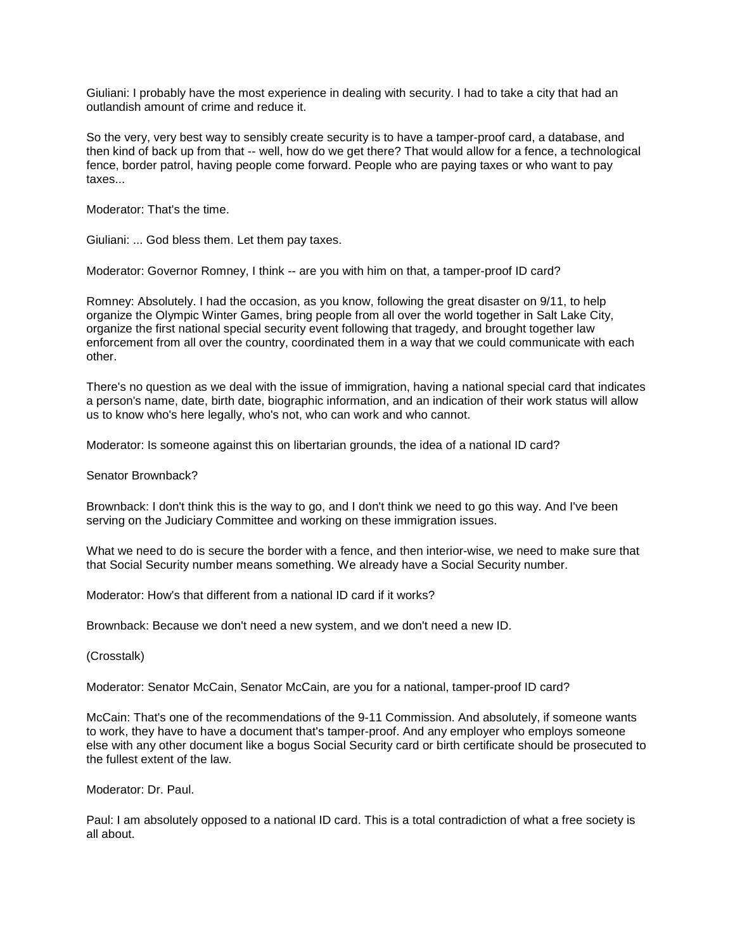Giuliani: I probably have the most experience in dealing with security. I had to take a city that had an outlandish amount of crime and reduce it.

So the very, very best way to sensibly create security is to have a tamper-proof card, a database, and then kind of back up from that -- well, how do we get there? That would allow for a fence, a technological fence, border patrol, having people come forward. People who are paying taxes or who want to pay taxes...

Moderator: That's the time.

Giuliani: ... God bless them. Let them pay taxes.

Moderator: Governor Romney, I think -- are you with him on that, a tamper-proof ID card?

Romney: Absolutely. I had the occasion, as you know, following the great disaster on 9/11, to help organize the Olympic Winter Games, bring people from all over the world together in Salt Lake City, organize the first national special security event following that tragedy, and brought together law enforcement from all over the country, coordinated them in a way that we could communicate with each other.

There's no question as we deal with the issue of immigration, having a national special card that indicates a person's name, date, birth date, biographic information, and an indication of their work status will allow us to know who's here legally, who's not, who can work and who cannot.

Moderator: Is someone against this on libertarian grounds, the idea of a national ID card?

Senator Brownback?

Brownback: I don't think this is the way to go, and I don't think we need to go this way. And I've been serving on the Judiciary Committee and working on these immigration issues.

What we need to do is secure the border with a fence, and then interior-wise, we need to make sure that that Social Security number means something. We already have a Social Security number.

Moderator: How's that different from a national ID card if it works?

Brownback: Because we don't need a new system, and we don't need a new ID.

(Crosstalk)

Moderator: Senator McCain, Senator McCain, are you for a national, tamper-proof ID card?

McCain: That's one of the recommendations of the 9-11 Commission. And absolutely, if someone wants to work, they have to have a document that's tamper-proof. And any employer who employs someone else with any other document like a bogus Social Security card or birth certificate should be prosecuted to the fullest extent of the law.

Moderator: Dr. Paul.

Paul: I am absolutely opposed to a national ID card. This is a total contradiction of what a free society is all about.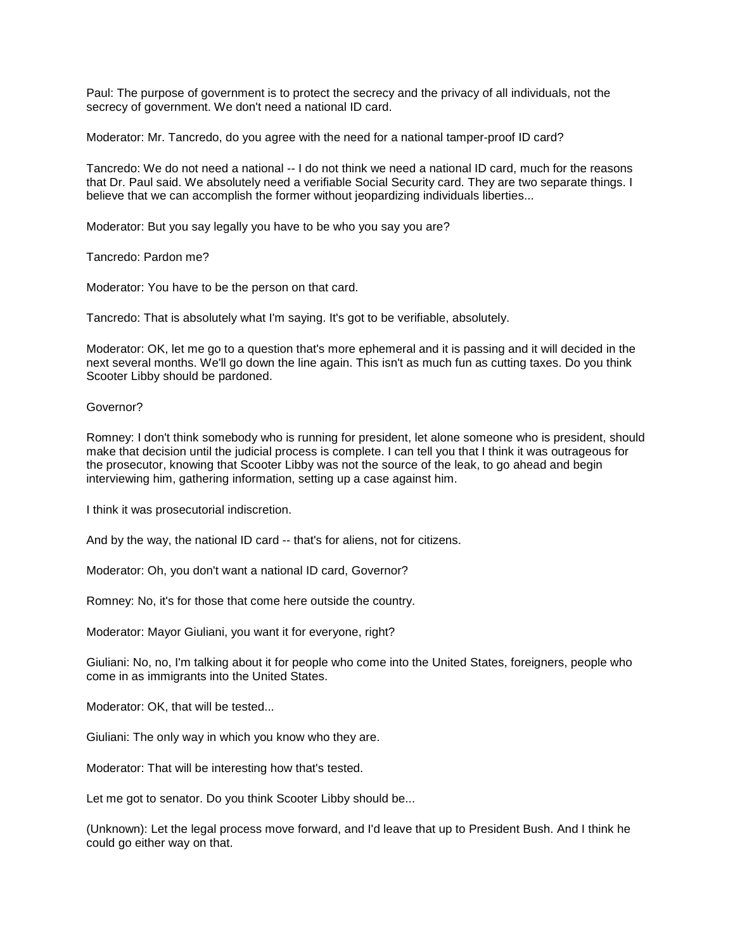Paul: The purpose of government is to protect the secrecy and the privacy of all individuals, not the secrecy of government. We don't need a national ID card.

Moderator: Mr. Tancredo, do you agree with the need for a national tamper-proof ID card?

Tancredo: We do not need a national -- I do not think we need a national ID card, much for the reasons that Dr. Paul said. We absolutely need a verifiable Social Security card. They are two separate things. I believe that we can accomplish the former without jeopardizing individuals liberties...

Moderator: But you say legally you have to be who you say you are?

Tancredo: Pardon me?

Moderator: You have to be the person on that card.

Tancredo: That is absolutely what I'm saying. It's got to be verifiable, absolutely.

Moderator: OK, let me go to a question that's more ephemeral and it is passing and it will decided in the next several months. We'll go down the line again. This isn't as much fun as cutting taxes. Do you think Scooter Libby should be pardoned.

### Governor?

Romney: I don't think somebody who is running for president, let alone someone who is president, should make that decision until the judicial process is complete. I can tell you that I think it was outrageous for the prosecutor, knowing that Scooter Libby was not the source of the leak, to go ahead and begin interviewing him, gathering information, setting up a case against him.

I think it was prosecutorial indiscretion.

And by the way, the national ID card -- that's for aliens, not for citizens.

Moderator: Oh, you don't want a national ID card, Governor?

Romney: No, it's for those that come here outside the country.

Moderator: Mayor Giuliani, you want it for everyone, right?

Giuliani: No, no, I'm talking about it for people who come into the United States, foreigners, people who come in as immigrants into the United States.

Moderator: OK, that will be tested...

Giuliani: The only way in which you know who they are.

Moderator: That will be interesting how that's tested.

Let me got to senator. Do you think Scooter Libby should be...

(Unknown): Let the legal process move forward, and I'd leave that up to President Bush. And I think he could go either way on that.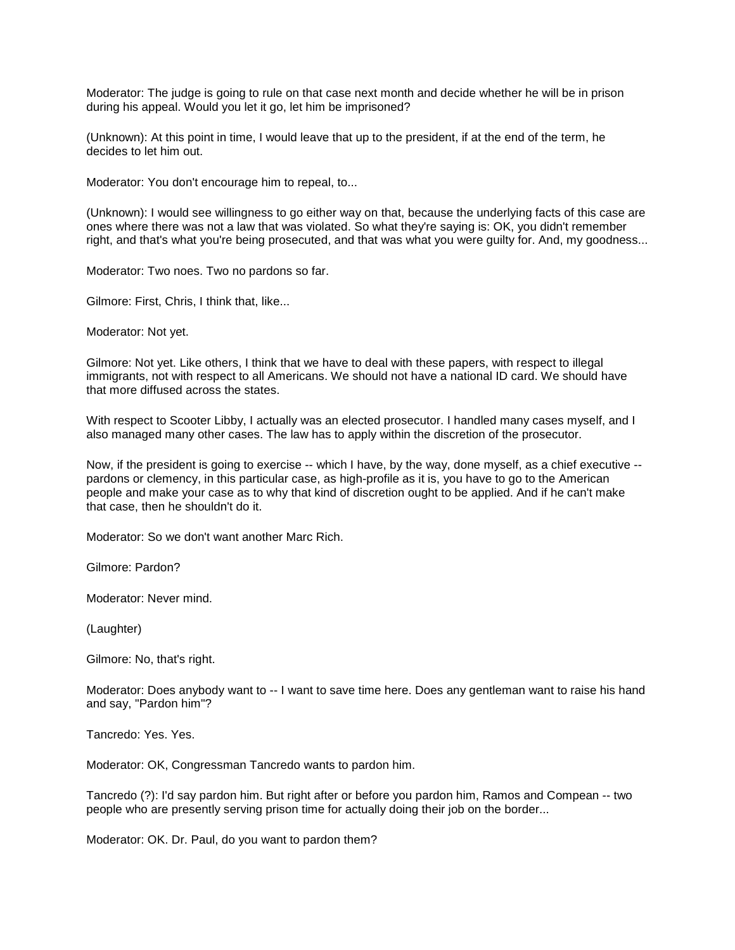Moderator: The judge is going to rule on that case next month and decide whether he will be in prison during his appeal. Would you let it go, let him be imprisoned?

(Unknown): At this point in time, I would leave that up to the president, if at the end of the term, he decides to let him out.

Moderator: You don't encourage him to repeal, to...

(Unknown): I would see willingness to go either way on that, because the underlying facts of this case are ones where there was not a law that was violated. So what they're saying is: OK, you didn't remember right, and that's what you're being prosecuted, and that was what you were guilty for. And, my goodness...

Moderator: Two noes. Two no pardons so far.

Gilmore: First, Chris, I think that, like...

Moderator: Not yet.

Gilmore: Not yet. Like others, I think that we have to deal with these papers, with respect to illegal immigrants, not with respect to all Americans. We should not have a national ID card. We should have that more diffused across the states.

With respect to Scooter Libby, I actually was an elected prosecutor. I handled many cases myself, and I also managed many other cases. The law has to apply within the discretion of the prosecutor.

Now, if the president is going to exercise -- which I have, by the way, done myself, as a chief executive - pardons or clemency, in this particular case, as high-profile as it is, you have to go to the American people and make your case as to why that kind of discretion ought to be applied. And if he can't make that case, then he shouldn't do it.

Moderator: So we don't want another Marc Rich.

Gilmore: Pardon?

Moderator: Never mind.

(Laughter)

Gilmore: No, that's right.

Moderator: Does anybody want to -- I want to save time here. Does any gentleman want to raise his hand and say, "Pardon him"?

Tancredo: Yes. Yes.

Moderator: OK, Congressman Tancredo wants to pardon him.

Tancredo (?): I'd say pardon him. But right after or before you pardon him, Ramos and Compean -- two people who are presently serving prison time for actually doing their job on the border...

Moderator: OK. Dr. Paul, do you want to pardon them?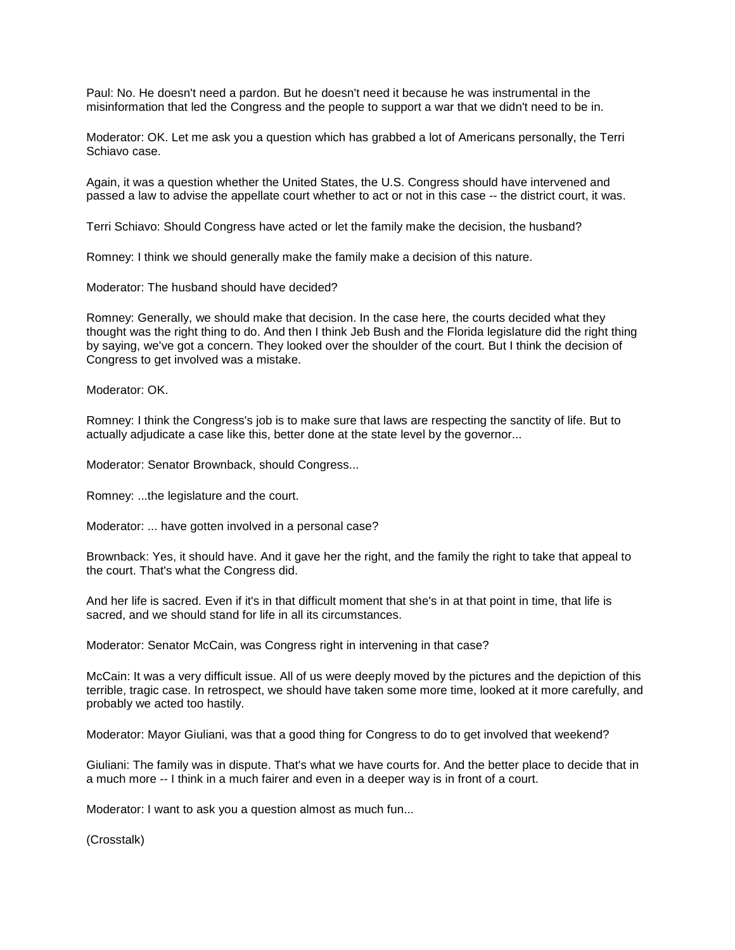Paul: No. He doesn't need a pardon. But he doesn't need it because he was instrumental in the misinformation that led the Congress and the people to support a war that we didn't need to be in.

Moderator: OK. Let me ask you a question which has grabbed a lot of Americans personally, the Terri Schiavo case.

Again, it was a question whether the United States, the U.S. Congress should have intervened and passed a law to advise the appellate court whether to act or not in this case -- the district court, it was.

Terri Schiavo: Should Congress have acted or let the family make the decision, the husband?

Romney: I think we should generally make the family make a decision of this nature.

Moderator: The husband should have decided?

Romney: Generally, we should make that decision. In the case here, the courts decided what they thought was the right thing to do. And then I think Jeb Bush and the Florida legislature did the right thing by saying, we've got a concern. They looked over the shoulder of the court. But I think the decision of Congress to get involved was a mistake.

Moderator: OK.

Romney: I think the Congress's job is to make sure that laws are respecting the sanctity of life. But to actually adjudicate a case like this, better done at the state level by the governor...

Moderator: Senator Brownback, should Congress...

Romney: ...the legislature and the court.

Moderator: ... have gotten involved in a personal case?

Brownback: Yes, it should have. And it gave her the right, and the family the right to take that appeal to the court. That's what the Congress did.

And her life is sacred. Even if it's in that difficult moment that she's in at that point in time, that life is sacred, and we should stand for life in all its circumstances.

Moderator: Senator McCain, was Congress right in intervening in that case?

McCain: It was a very difficult issue. All of us were deeply moved by the pictures and the depiction of this terrible, tragic case. In retrospect, we should have taken some more time, looked at it more carefully, and probably we acted too hastily.

Moderator: Mayor Giuliani, was that a good thing for Congress to do to get involved that weekend?

Giuliani: The family was in dispute. That's what we have courts for. And the better place to decide that in a much more -- I think in a much fairer and even in a deeper way is in front of a court.

Moderator: I want to ask you a question almost as much fun...

(Crosstalk)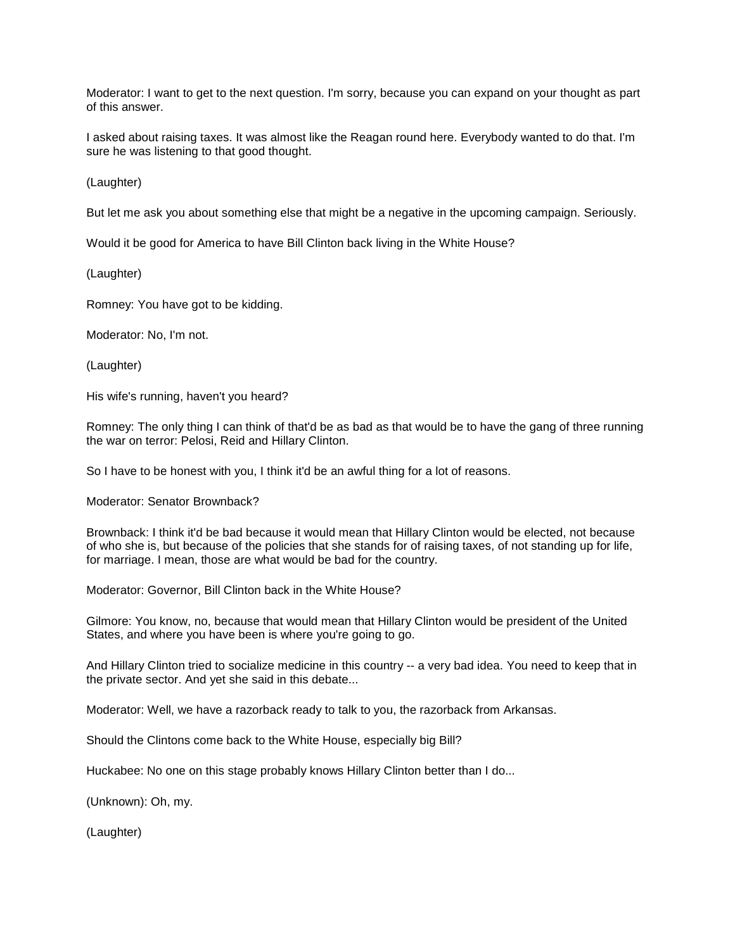Moderator: I want to get to the next question. I'm sorry, because you can expand on your thought as part of this answer.

I asked about raising taxes. It was almost like the Reagan round here. Everybody wanted to do that. I'm sure he was listening to that good thought.

(Laughter)

But let me ask you about something else that might be a negative in the upcoming campaign. Seriously.

Would it be good for America to have Bill Clinton back living in the White House?

(Laughter)

Romney: You have got to be kidding.

Moderator: No, I'm not.

(Laughter)

His wife's running, haven't you heard?

Romney: The only thing I can think of that'd be as bad as that would be to have the gang of three running the war on terror: Pelosi, Reid and Hillary Clinton.

So I have to be honest with you, I think it'd be an awful thing for a lot of reasons.

Moderator: Senator Brownback?

Brownback: I think it'd be bad because it would mean that Hillary Clinton would be elected, not because of who she is, but because of the policies that she stands for of raising taxes, of not standing up for life, for marriage. I mean, those are what would be bad for the country.

Moderator: Governor, Bill Clinton back in the White House?

Gilmore: You know, no, because that would mean that Hillary Clinton would be president of the United States, and where you have been is where you're going to go.

And Hillary Clinton tried to socialize medicine in this country -- a very bad idea. You need to keep that in the private sector. And yet she said in this debate...

Moderator: Well, we have a razorback ready to talk to you, the razorback from Arkansas.

Should the Clintons come back to the White House, especially big Bill?

Huckabee: No one on this stage probably knows Hillary Clinton better than I do...

(Unknown): Oh, my.

(Laughter)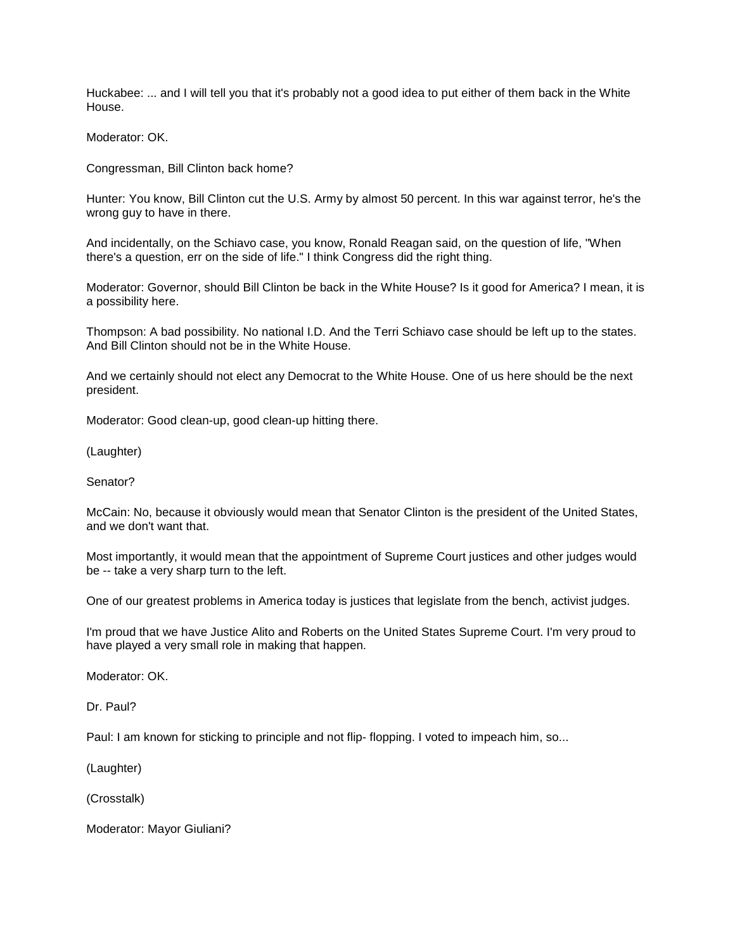Huckabee: ... and I will tell you that it's probably not a good idea to put either of them back in the White House.

Moderator: OK.

Congressman, Bill Clinton back home?

Hunter: You know, Bill Clinton cut the U.S. Army by almost 50 percent. In this war against terror, he's the wrong guy to have in there.

And incidentally, on the Schiavo case, you know, Ronald Reagan said, on the question of life, "When there's a question, err on the side of life." I think Congress did the right thing.

Moderator: Governor, should Bill Clinton be back in the White House? Is it good for America? I mean, it is a possibility here.

Thompson: A bad possibility. No national I.D. And the Terri Schiavo case should be left up to the states. And Bill Clinton should not be in the White House.

And we certainly should not elect any Democrat to the White House. One of us here should be the next president.

Moderator: Good clean-up, good clean-up hitting there.

(Laughter)

Senator?

McCain: No, because it obviously would mean that Senator Clinton is the president of the United States, and we don't want that.

Most importantly, it would mean that the appointment of Supreme Court justices and other judges would be -- take a very sharp turn to the left.

One of our greatest problems in America today is justices that legislate from the bench, activist judges.

I'm proud that we have Justice Alito and Roberts on the United States Supreme Court. I'm very proud to have played a very small role in making that happen.

Moderator: OK.

Dr. Paul?

Paul: I am known for sticking to principle and not flip- flopping. I voted to impeach him, so...

(Laughter)

(Crosstalk)

Moderator: Mayor Giuliani?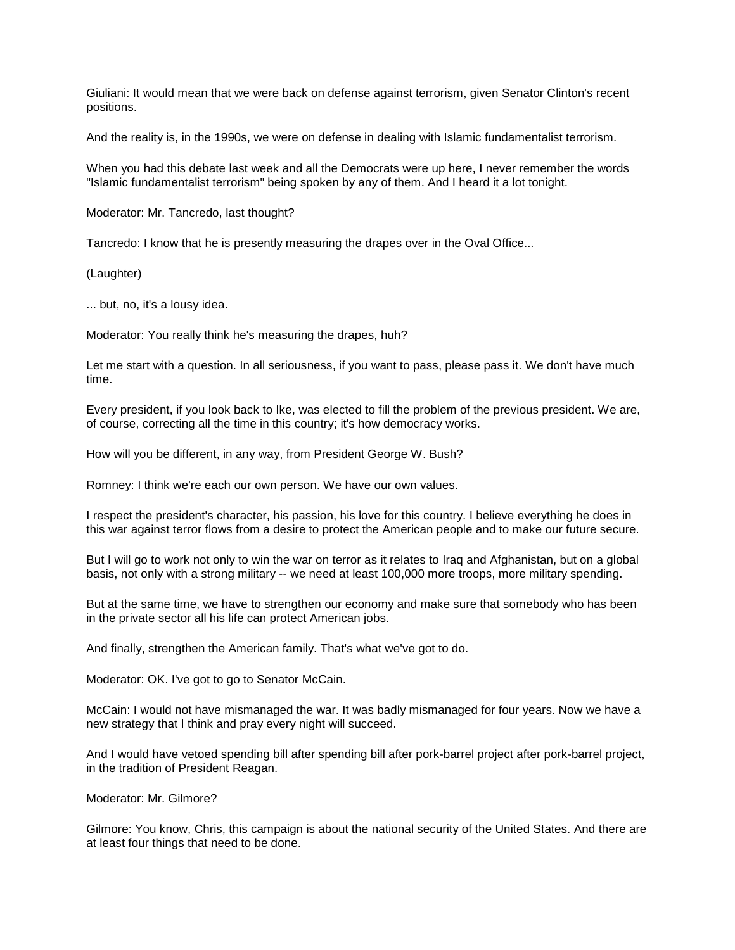Giuliani: It would mean that we were back on defense against terrorism, given Senator Clinton's recent positions.

And the reality is, in the 1990s, we were on defense in dealing with Islamic fundamentalist terrorism.

When you had this debate last week and all the Democrats were up here, I never remember the words "Islamic fundamentalist terrorism" being spoken by any of them. And I heard it a lot tonight.

Moderator: Mr. Tancredo, last thought?

Tancredo: I know that he is presently measuring the drapes over in the Oval Office...

(Laughter)

... but, no, it's a lousy idea.

Moderator: You really think he's measuring the drapes, huh?

Let me start with a question. In all seriousness, if you want to pass, please pass it. We don't have much time.

Every president, if you look back to Ike, was elected to fill the problem of the previous president. We are, of course, correcting all the time in this country; it's how democracy works.

How will you be different, in any way, from President George W. Bush?

Romney: I think we're each our own person. We have our own values.

I respect the president's character, his passion, his love for this country. I believe everything he does in this war against terror flows from a desire to protect the American people and to make our future secure.

But I will go to work not only to win the war on terror as it relates to Iraq and Afghanistan, but on a global basis, not only with a strong military -- we need at least 100,000 more troops, more military spending.

But at the same time, we have to strengthen our economy and make sure that somebody who has been in the private sector all his life can protect American jobs.

And finally, strengthen the American family. That's what we've got to do.

Moderator: OK. I've got to go to Senator McCain.

McCain: I would not have mismanaged the war. It was badly mismanaged for four years. Now we have a new strategy that I think and pray every night will succeed.

And I would have vetoed spending bill after spending bill after pork-barrel project after pork-barrel project, in the tradition of President Reagan.

Moderator: Mr. Gilmore?

Gilmore: You know, Chris, this campaign is about the national security of the United States. And there are at least four things that need to be done.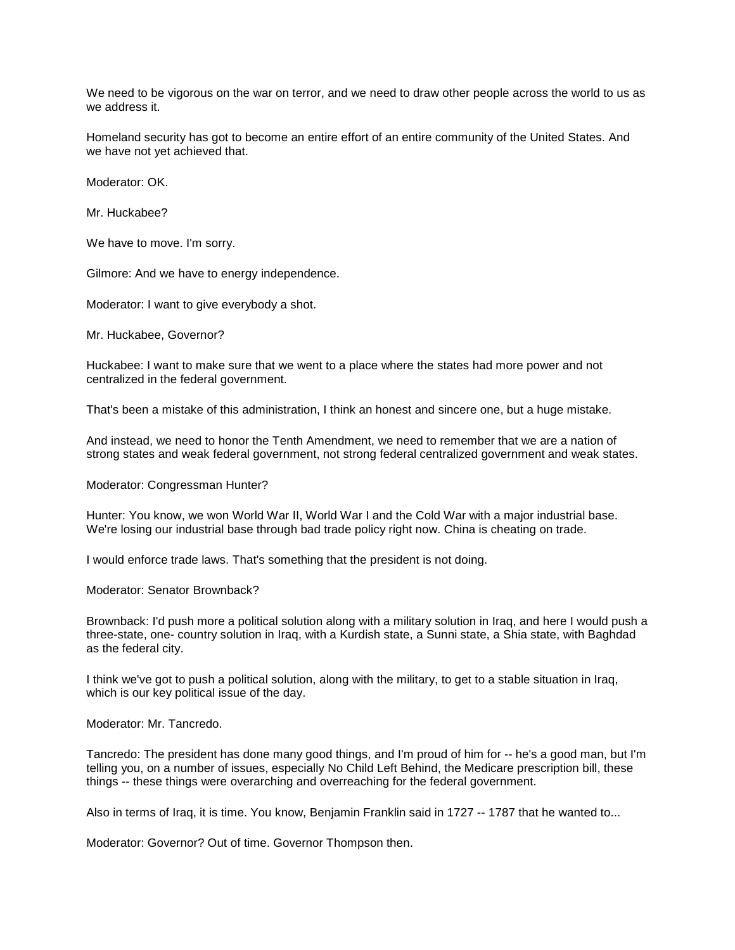We need to be vigorous on the war on terror, and we need to draw other people across the world to us as we address it.

Homeland security has got to become an entire effort of an entire community of the United States. And we have not yet achieved that.

Moderator: OK.

Mr. Huckabee?

We have to move. I'm sorry.

Gilmore: And we have to energy independence.

Moderator: I want to give everybody a shot.

Mr. Huckabee, Governor?

Huckabee: I want to make sure that we went to a place where the states had more power and not centralized in the federal government.

That's been a mistake of this administration, I think an honest and sincere one, but a huge mistake.

And instead, we need to honor the Tenth Amendment, we need to remember that we are a nation of strong states and weak federal government, not strong federal centralized government and weak states.

Moderator: Congressman Hunter?

Hunter: You know, we won World War II, World War I and the Cold War with a major industrial base. We're losing our industrial base through bad trade policy right now. China is cheating on trade.

I would enforce trade laws. That's something that the president is not doing.

Moderator: Senator Brownback?

Brownback: I'd push more a political solution along with a military solution in Iraq, and here I would push a three-state, one- country solution in Iraq, with a Kurdish state, a Sunni state, a Shia state, with Baghdad as the federal city.

I think we've got to push a political solution, along with the military, to get to a stable situation in Iraq, which is our key political issue of the day.

Moderator: Mr. Tancredo.

Tancredo: The president has done many good things, and I'm proud of him for -- he's a good man, but I'm telling you, on a number of issues, especially No Child Left Behind, the Medicare prescription bill, these things -- these things were overarching and overreaching for the federal government.

Also in terms of Iraq, it is time. You know, Benjamin Franklin said in 1727 -- 1787 that he wanted to...

Moderator: Governor? Out of time. Governor Thompson then.